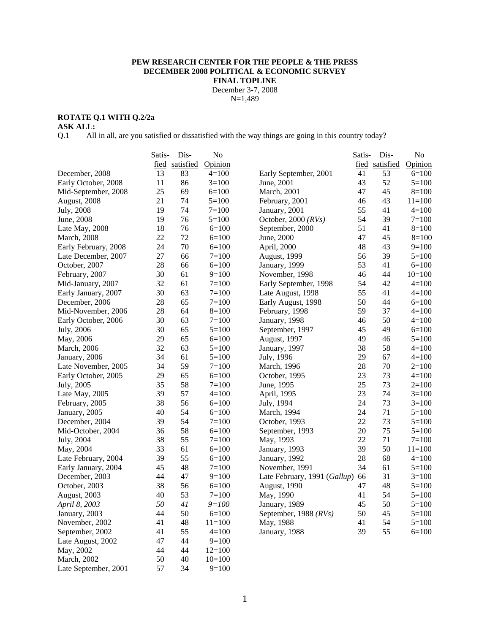### **PEW RESEARCH CENTER FOR THE PEOPLE & THE PRESS DECEMBER 2008 POLITICAL & ECONOMIC SURVEY FINAL TOPLINE**  December 3-7, 2008

N=1,489

# **ROTATE Q.1 WITH Q.2/2a**

Late September, 2001

**ASK ALL:** 

Q.1 All in all, are you satisfied or dissatisfied with the way things are going in this country today?

|                      | Satis- | Dis-           | No         |                              | Satis- | Dis-           | No         |
|----------------------|--------|----------------|------------|------------------------------|--------|----------------|------------|
|                      |        | fied satisfied | Opinion    |                              |        | fied satisfied | Opinion    |
| December, 2008       | 13     | 83             | $4=100$    | Early September, 2001        | 41     | 53             | $6=100$    |
| Early October, 2008  | 11     | 86             | $3=100$    | June, 2001                   | 43     | 52             | $5=100$    |
| Mid-September, 2008  | 25     | 69             | $6=100$    | March, 2001                  | 47     | 45             | $8=100$    |
| August, 2008         | 21     | 74             | $5=100$    | February, 2001               | 46     | 43             | $11 = 100$ |
| July, 2008           | 19     | 74             | $7=100$    | January, 2001                | 55     | 41             | $4=100$    |
| June, 2008           | 19     | 76             | $5=100$    | October, 2000 $(RVs)$        | 54     | 39             | $7=100$    |
| Late May, 2008       | 18     | 76             | $6=100$    | September, 2000              | 51     | 41             | $8=100$    |
| <b>March</b> , 2008  | 22     | 72             | $6=100$    | June, 2000                   | 47     | 45             | $8=100$    |
| Early February, 2008 | 24     | 70             | $6=100$    | April, 2000                  | 48     | 43             | $9=100$    |
| Late December, 2007  | $27\,$ | 66             | $7 = 100$  | August, 1999                 | 56     | 39             | $5=100$    |
| October, 2007        | 28     | 66             | $6=100$    | January, 1999                | 53     | 41             | $6=100$    |
| February, 2007       | 30     | 61             | $9=100$    | November, 1998               | 46     | 44             | $10=100$   |
| Mid-January, 2007    | 32     | 61             | $7=100$    | Early September, 1998        | 54     | 42             | $4=100$    |
| Early January, 2007  | 30     | 63             | $7=100$    | Late August, 1998            | 55     | 41             | $4=100$    |
| December, 2006       | 28     | 65             | $7=100$    | Early August, 1998           | 50     | 44             | $6=100$    |
| Mid-November, 2006   | 28     | 64             | $8=100$    | February, 1998               | 59     | 37             | $4 = 100$  |
| Early October, 2006  | 30     | 63             | $7=100$    | January, 1998                | 46     | 50             | $4=100$    |
| July, 2006           | 30     | 65             | $5 = 100$  | September, 1997              | 45     | 49             | $6=100$    |
| May, 2006            | 29     | 65             | $6=100$    | August, 1997                 | 49     | 46             | $5=100$    |
| <b>March</b> , 2006  | 32     | 63             | $5=100$    | January, 1997                | 38     | 58             | $4=100$    |
| January, 2006        | 34     | 61             | $5 = 100$  | July, 1996                   | 29     | 67             | $4 = 100$  |
| Late November, 2005  | 34     | 59             | $7 = 100$  | March, 1996                  | 28     | 70             | $2=100$    |
| Early October, 2005  | 29     | 65             | $6=100$    | October, 1995                | 23     | 73             | $4=100$    |
| July, 2005           | 35     | 58             | $7=100$    | June, 1995                   | 25     | 73             | $2=100$    |
| Late May, 2005       | 39     | 57             | $4=100$    | April, 1995                  | 23     | 74             | $3=100$    |
| February, 2005       | 38     | 56             | $6=100$    | July, 1994                   | 24     | 73             | $3=100$    |
| January, 2005        | 40     | 54             | $6=100$    | March, 1994                  | 24     | 71             | $5=100$    |
| December, 2004       | 39     | 54             | $7=100$    | October, 1993                | 22     | 73             | $5=100$    |
| Mid-October, 2004    | 36     | 58             | $6=100$    | September, 1993              | 20     | 75             | $5=100$    |
| July, 2004           | 38     | 55             | $7=100$    | May, 1993                    | 22     | 71             | $7=100$    |
| May, 2004            | 33     | 61             | $6=100$    | January, 1993                | 39     | 50             | $11=100$   |
| Late February, 2004  | 39     | 55             | $6=100$    | January, 1992                | 28     | 68             | $4 = 100$  |
| Early January, 2004  | 45     | 48             | $7=100$    | November, 1991               | 34     | 61             | $5=100$    |
| December, 2003       | 44     | 47             | $9=100$    | Late February, 1991 (Gallup) | 66     | 31             | $3=100$    |
| October, 2003        | 38     | 56             | $6=100$    | August, 1990                 | 47     | 48             | $5=100$    |
| August, 2003         | 40     | 53             | $7 = 100$  | May, 1990                    | 41     | 54             | $5=100$    |
| April 8, 2003        | 50     | 41             | $9 = 100$  | January, 1989                | 45     | 50             | $5=100$    |
| January, 2003        | 44     | 50             | $6 = 100$  | September, 1988 (RVs)        | 50     | 45             | $5=100$    |
| November, 2002       | 41     | 48             | $11 = 100$ | May, 1988                    | 41     | 54             | $5=100$    |
| September, 2002      | 41     | 55             | $4 = 100$  | January, 1988                | 39     | 55             | $6=100$    |
| Late August, 2002    | 47     | 44             | $9=100$    |                              |        |                |            |
| May, 2002            | 44     | 44             | $12=100$   |                              |        |                |            |
| March, 2002          | 50     | 40             | $10=100$   |                              |        |                |            |
| Late September, 2001 | 57     | 34             | $9=100$    |                              |        |                |            |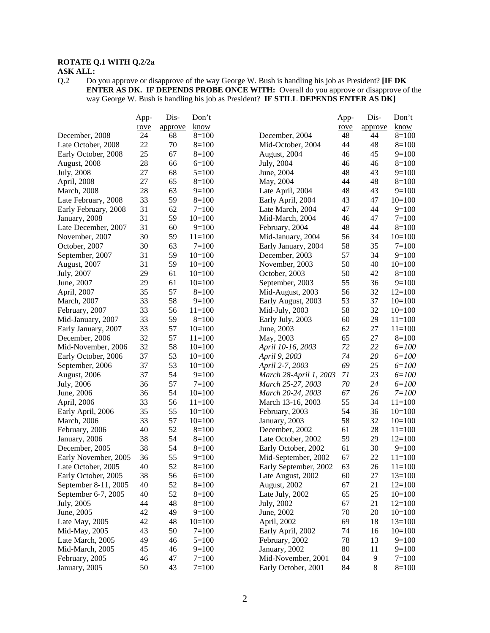# **ROTATE Q.1 WITH Q.2/2a**

**ASK ALL:**  $Q.2$  Do Do you approve or disapprove of the way George W. Bush is handling his job as President? **[IF DK ENTER AS DK. IF DEPENDS PROBE ONCE WITH:** Overall do you approve or disapprove of the way George W. Bush is handling his job as President? **IF STILL DEPENDS ENTER AS DK]** 

|                      | App- | Dis-    | Don't     |                        | App-     | Dis-    | Don't      |
|----------------------|------|---------|-----------|------------------------|----------|---------|------------|
|                      | rove | approve | know      |                        | rove     | approve | know       |
| December, 2008       | 24   | 68      | $8=100$   | December, 2004         | 48       | 44      | $8=100$    |
| Late October, 2008   | 22   | 70      | $8=100$   | Mid-October, 2004      | 44       | 48      | $8=100$    |
| Early October, 2008  | 25   | 67      | $8=100$   | August, 2004           | 46       | 45      | $9=100$    |
| August, 2008         | 28   | 66      | $6=100$   | July, 2004             | 46       | 46      | $8=100$    |
| July, 2008           | 27   | 68      | $5=100$   | June, 2004             | 48       | 43      | $9=100$    |
| April, 2008          | 27   | 65      | $8=100$   | May, 2004              | 44       | 48      | $8=100$    |
| March, 2008          | 28   | 63      | $9=100$   | Late April, 2004       | 48       | 43      | $9=100$    |
| Late February, 2008  | 33   | 59      | $8=100$   | Early April, 2004      | 43       | 47      | $10=100$   |
| Early February, 2008 | 31   | 62      | $7=100$   | Late March, 2004       | 47       | 44      | $9=100$    |
| January, 2008        | 31   | 59      | $10=100$  | Mid-March, 2004        | 46       | 47      | $7=100$    |
| Late December, 2007  | 31   | 60      | $9=100$   | February, 2004         | 48       | 44      | $8=100$    |
| November, 2007       | 30   | 59      | $11=100$  | Mid-January, 2004      | 56       | 34      | $10=100$   |
| October, 2007        | 30   | 63      | $7 = 100$ | Early January, 2004    | 58       | 35      | $7 = 100$  |
| September, 2007      | 31   | 59      | $10=100$  | December, 2003         | 57       | 34      | $9=100$    |
| August, 2007         | 31   | 59      | $10=100$  | November, 2003         | 50       | 40      | $10=100$   |
| July, 2007           | 29   | 61      | $10=100$  | October, 2003          | 50       | 42      | $8=100$    |
| June, 2007           | 29   | 61      | $10=100$  | September, 2003        | 55       | 36      | $9=100$    |
| April, 2007          | 35   | 57      | $8=100$   | Mid-August, 2003       | 56       | 32      | $12=100$   |
| March, 2007          | 33   | 58      | $9=100$   | Early August, 2003     | 53       | 37      | $10=100$   |
| February, 2007       | 33   | 56      | $11=100$  | Mid-July, 2003         | 58       | 32      | $10=100$   |
| Mid-January, 2007    | 33   | 59      | $8=100$   | Early July, 2003       | 60       | 29      | $11 = 100$ |
| Early January, 2007  | 33   | 57      | $10=100$  | June, 2003             | 62       | 27      | $11=100$   |
| December, 2006       | 32   | 57      | $11=100$  | May, 2003              | 65       | 27      | $8=100$    |
| Mid-November, 2006   | 32   | 58      | $10=100$  | April 10-16, 2003      | 72       | 22      | $6 = 100$  |
| Early October, 2006  | 37   | 53      | $10=100$  | April 9, 2003          | 74       | 20      | $6 = 100$  |
| September, 2006      | 37   | 53      | $10=100$  | April 2-7, 2003        | 69       | 25      | $6 = 100$  |
| August, 2006         | 37   | 54      | $9=100$   | March 28-April 1, 2003 | 71       | 23      | $6 = 100$  |
| July, 2006           | 36   | 57      | $7 = 100$ | March 25-27, 2003      | 70       | 24      | $6 = 100$  |
| June, 2006           | 36   | 54      | $10=100$  | March 20-24, 2003      | 67       | 26      | $7 = 100$  |
| April, 2006          | 33   | 56      | $11=100$  | March 13-16, 2003      | 55       | 34      | $11 = 100$ |
| Early April, 2006    | 35   | 55      | $10=100$  | February, 2003         | 54       | 36      | $10=100$   |
| March, 2006          | 33   | 57      | $10=100$  | January, 2003          | 58       | 32      | $10=100$   |
| February, 2006       | 40   | 52      | $8=100$   | December, 2002         | 61       | 28      | $11=100$   |
| January, 2006        | 38   | 54      | $8=100$   | Late October, 2002     | 59       | 29      | $12=100$   |
| December, 2005       | 38   | 54      | $8=100$   | Early October, 2002    | 61       | 30      | $9=100$    |
| Early November, 2005 | 36   | 55      | $9=100$   | Mid-September, 2002    | 67       | 22      | $11 = 100$ |
| Late October, 2005   | 40   | 52      | $8=100$   | Early September, 2002  | 63       | 26      | $11=100$   |
| Early October, 2005  | 38   | 56      | $6=100$   | Late August, 2002      | 60       | 27      | $13=100$   |
| September 8-11, 2005 | 40   | 52      | $8=100$   | August, 2002           | 67       | 21      | $12=100$   |
| September 6-7, 2005  | 40   | 52      | $8=100$   |                        |          | 25      | $10=100$   |
|                      | 44   | 48      |           | Late July, 2002        | 65<br>67 | 21      |            |
| July, 2005           |      |         | $8=100$   | July, 2002             |          |         | $12=100$   |
| June, 2005           | 42   | 49      | $9=100$   | June, 2002             | 70       | 20      | $10=100$   |
| Late May, 2005       | 42   | 48      | $10=100$  | April, 2002            | 69       | 18      | $13=100$   |
| Mid-May, 2005        | 43   | 50      | $7 = 100$ | Early April, 2002      | 74       | 16      | $10=100$   |
| Late March, 2005     | 49   | 46      | $5=100$   | February, 2002         | 78       | 13      | $9=100$    |
| Mid-March, 2005      | 45   | 46      | $9=100$   | January, 2002          | 80       | 11      | $9=100$    |
| February, 2005       | 46   | 47      | $7 = 100$ | Mid-November, 2001     | 84       | 9       | $7=100$    |
| January, 2005        | 50   | 43      | $7=100$   | Early October, 2001    | 84       | 8       | $8=100$    |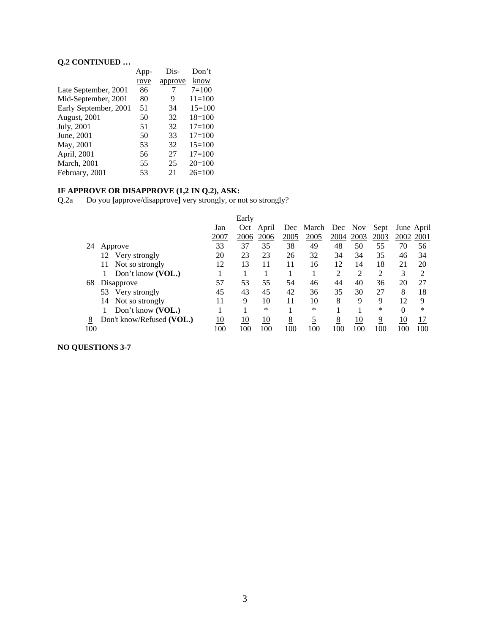# **Q.2 CONTINUED …**

|                       | App- | Dis-    | Don't      |
|-----------------------|------|---------|------------|
|                       | rove | approve | know       |
| Late September, 2001  | 86   | 7       | $7=100$    |
| Mid-September, 2001   | 80   | 9       | $11 = 100$ |
| Early September, 2001 | 51   | 34      | $15 = 100$ |
| August, 2001          | 50   | 32      | $18=100$   |
| July, 2001            | 51   | 32      | $17 = 100$ |
| June, 2001            | 50   | 33      | $17 = 100$ |
| May, 2001             | 53   | 32      | $15=100$   |
| April, 2001           | 56   | 27      | $17 = 100$ |
| <b>March</b> , 2001   | 55   | 25      | $20=100$   |
| February, 2001        | 53   | 21      | $26=100$   |

# **IF APPROVE OR DISAPPROVE (1,2 IN Q.2), ASK:**

Q.2a Do you **[**approve/disapprove**]** very strongly, or not so strongly?

|     |                           |      | Early |       |      |                   |      |      |      |            |     |
|-----|---------------------------|------|-------|-------|------|-------------------|------|------|------|------------|-----|
|     |                           | Jan  | Oct   | April |      | Dec March Dec Nov |      |      | Sept | June April |     |
|     |                           | 2007 | 2006  | 2006  | 2005 | 2005              | 2004 | 2003 | 2003 | 2002 2001  |     |
| 24  | Approve                   | 33   | 37    | 35    | 38   | 49                | 48   | 50   | 55   | 70         | 56  |
|     | Very strongly<br>12       | 20   | 23    | 23    | 26   | 32                | 34   | 34   | 35   | 46         | 34  |
|     | Not so strongly<br>11     | 12   | 13    | 11    | 11   | 16                | 12   | 14   | 18   | 21         | 20  |
|     | Don't know (VOL.)         |      |       |       |      |                   | 2    | 2    | 2    | 3          | 2   |
| 68  | Disapprove                | 57   | 53    | 55    | 54   | 46                | 44   | 40   | 36   | 20         | 27  |
|     | 53<br>Very strongly       | 45   | 43    | 45    | 42   | 36                | 35   | 30   | 27   | 8          | 18  |
|     | Not so strongly<br>14     | 11   | 9     | 10    | 11   | 10                | 8    | 9    | 9    | 12         | 9   |
|     | Don't know (VOL.)         |      |       | ∗     |      | *                 |      |      | *    | $\Omega$   | ∗   |
| 8   | Don't know/Refused (VOL.) | 10   | 10    | 10    | 8    | 5                 | 8    | 10   | 9    | 10         | 17  |
| 100 |                           | 100  | 100   | 100   | 100  | 100               | 100  | 100  | 100  | 100        | 100 |

# **NO QUESTIONS 3-7**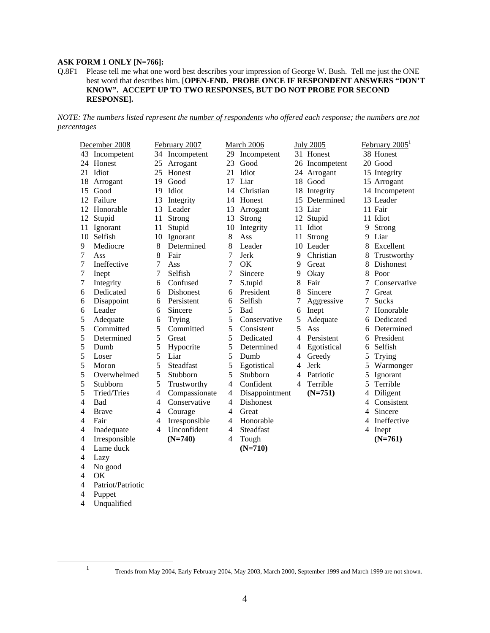# **ASK FORM 1 ONLY [N=766]:**

#### Q.8F1 Please tell me what one word best describes your impression of George W. Bush. Tell me just the ONE best word that describes him. [**OPEN-END. PROBE ONCE IF RESPONDENT ANSWERS "DON'T KNOW". ACCEPT UP TO TWO RESPONSES, BUT DO NOT PROBE FOR SECOND RESPONSE].**

*NOTE: The numbers listed represent the number of respondents who offered each response; the numbers are not percentages*

|    | December 2008  |    | February 2007    |    | March 2006       |   | <b>July 2005</b> | February 2005 <sup>1</sup> |                  |  |  |
|----|----------------|----|------------------|----|------------------|---|------------------|----------------------------|------------------|--|--|
|    | 43 Incompetent | 34 | Incompetent      | 29 | Incompetent      |   | 31 Honest        |                            | 38 Honest        |  |  |
|    | 24 Honest      | 25 | Arrogant         | 23 | Good             |   | 26 Incompetent   |                            | 20 Good          |  |  |
|    | 21 Idiot       | 25 | Honest           | 21 | Idiot            |   | 24 Arrogant      |                            | 15 Integrity     |  |  |
| 18 | Arrogant       | 19 | Good             | 17 | Liar             |   | 18 Good          |                            | 15 Arrogant      |  |  |
| 15 | Good           | 19 | Idiot            | 14 | Christian        |   | 18 Integrity     |                            | 14 Incompetent   |  |  |
|    | 12 Failure     | 13 | Integrity        | 14 | Honest           |   | 15 Determined    |                            | 13 Leader        |  |  |
| 12 | Honorable      | 13 | Leader           | 13 | Arrogant         |   | 13 Liar          |                            | 11 Fair          |  |  |
| 12 | Stupid         | 11 | Strong           | 13 | Strong           |   | 12 Stupid        |                            | 11 Idiot         |  |  |
| 11 | Ignorant       | 11 | Stupid           | 10 | Integrity        |   | 11 Idiot         | 9                          | Strong           |  |  |
| 10 | Selfish        | 10 | Ignorant         | 8  | Ass              |   | 11 Strong        | 9                          | Liar             |  |  |
| 9  | Mediocre       | 8  | Determined       | 8  | Leader           |   | 10 Leader        | 8                          | Excellent        |  |  |
| 7  | Ass            | 8  | Fair             | 7  | Jerk             | 9 | Christian        | 8                          | Trustworthy      |  |  |
| 7  | Ineffective    | 7  | Ass              | 7  | <b>OK</b>        | 9 | Great            | 8                          | <b>Dishonest</b> |  |  |
| 7  | Inept          | 7  | Selfish          | 7  | Sincere          | 9 | Okay             | 8                          | Poor             |  |  |
| 7  | Integrity      | 6  | Confused         | 7  | S.tupid          | 8 | Fair             |                            | Conservative     |  |  |
| 6  | Dedicated      | 6  | Dishonest        | 6  | President        | 8 | Sincere          | 7                          | Great            |  |  |
| 6  | Disappoint     | 6  | Persistent       | 6  | Selfish          | 7 | Aggressive       | 7                          | <b>Sucks</b>     |  |  |
| 6  | Leader         | 6  | Sincere          | 5  | Bad              | 6 | Inept            | 7                          | Honorable        |  |  |
| 5  | Adequate       | 6  | Trying           | 5  | Conservative     | 5 | Adequate         | 6                          | Dedicated        |  |  |
| 5  | Committed      | 5  | Committed        | 5  | Consistent       | 5 | Ass              | 6                          | Determined       |  |  |
| 5  | Determined     | 5  | Great            | 5  | Dedicated        | 4 | Persistent       | 6                          | President        |  |  |
| 5  | Dumb           | 5  | Hypocrite        | 5  | Determined       | 4 | Egotistical      | 6                          | Selfish          |  |  |
| 5  | Loser          | 5  | Liar             | 5  | Dumb             | 4 | Greedy           | 5                          | Trying           |  |  |
| 5  | Moron          | 5  | <b>Steadfast</b> | 5  | Egotistical      | 4 | Jerk             | 5                          | Warmonger        |  |  |
| 5  | Overwhelmed    | 5  | Stubborn         | 5  | Stubborn         | 4 | Patriotic        | 5                          | Ignorant         |  |  |
| 5  | Stubborn       | 5  | Trustworthy      | 4  | Confident        | 4 | Terrible         | 5                          | Terrible         |  |  |
| 5  | Tried/Tries    | 4  | Compassionate    | 4  | Disappointment   |   | $(N=751)$        | 4                          | Diligent         |  |  |
| 4  | Bad            | 4  | Conservative     | 4  | <b>Dishonest</b> |   |                  | 4                          | Consistent       |  |  |
| 4  | <b>Brave</b>   | 4  | Courage          | 4  | Great            |   |                  | 4                          | Sincere          |  |  |
| 4  | Fair           | 4  | Irresponsible    | 4  | Honorable        |   |                  | 4                          | Ineffective      |  |  |
| 4  | Inadequate     | 4  | Unconfident      | 4  | Steadfast        |   |                  | 4                          | Inept            |  |  |
| 4  | Irresponsible  |    | $(N=740)$        | 4  | Tough            |   |                  |                            | $(N=761)$        |  |  |
| 4  | Lame duck      |    |                  |    | $(N=710)$        |   |                  |                            |                  |  |  |
| 4  | Lazy           |    |                  |    |                  |   |                  |                            |                  |  |  |
| 4  | No good        |    |                  |    |                  |   |                  |                            |                  |  |  |
| 4  | OK             |    |                  |    |                  |   |                  |                            |                  |  |  |

- 4 Patriot/Patriotic
- 4 Puppet

 $\frac{1}{1}$ 

4 Unqualified

Trends from May 2004, Early February 2004, May 2003, March 2000, September 1999 and March 1999 are not shown.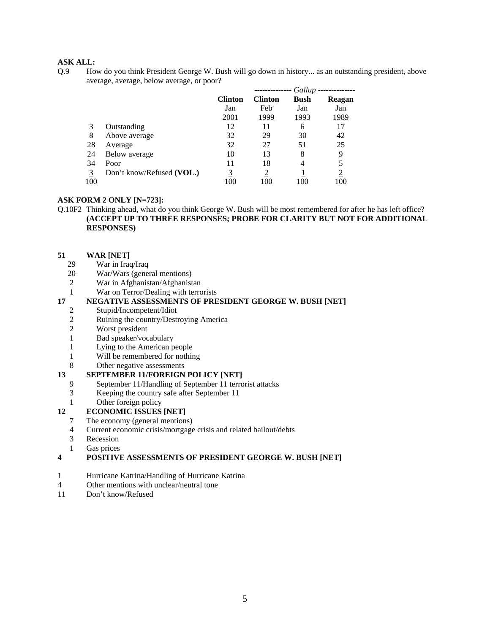Q.9 How do you think President George W. Bush will go down in history... as an outstanding president, above average, average, below average, or poor?

|     |                           |                |                | Gallup      |                |
|-----|---------------------------|----------------|----------------|-------------|----------------|
|     |                           | <b>Clinton</b> | <b>Clinton</b> | <b>Bush</b> | Reagan         |
|     |                           | Jan            | Feb            | Jan         | Jan            |
|     |                           | 2001           | 1999           | 1993        | 1989           |
| 3   | Outstanding               | 12             | 11             | 6           | 17             |
| 8   | Above average             | 32             | 29             | 30          | 42             |
| 28  | Average                   | 32             | 27             | 51          | 25             |
| 24  | Below average             | 10             | 13             | 8           | 9              |
| 34  | Poor                      | 11             | 18             | 4           |                |
| 3   | Don't know/Refused (VOL.) | 3              | $\overline{2}$ |             | $\overline{2}$ |
| 100 |                           | 100            | 100            |             | 100            |

#### **ASK FORM 2 ONLY [N=723]:**

Q.10F2 Thinking ahead, what do you think George W. Bush will be most remembered for after he has left office? **(ACCEPT UP TO THREE RESPONSES; PROBE FOR CLARITY BUT NOT FOR ADDITIONAL RESPONSES)**

# **51 WAR [NET]**<br>29 **War in Irac**

- War in Iraq/Iraq
- 20 War/Wars (general mentions)
- 2 War in Afghanistan/Afghanistan
- 1 War on Terror/Dealing with terrorists

# **17 NEGATIVE ASSESSMENTS OF PRESIDENT GEORGE W. BUSH [NET]**

- 2 Stupid/Incompetent/Idiot
- 2 Ruining the country/Destroying America
- 2 Worst president
- 1 Bad speaker/vocabulary
- 1 Lying to the American people
- 1 Will be remembered for nothing
- 8 Other negative assessments

# **13 SEPTEMBER 11/FOREIGN POLICY [NET]**<br>9 September 11/Handling of September 11 terro

- September 11/Handling of September 11 terrorist attacks
- 3 Keeping the country safe after September 11
- 1 Other foreign policy

# **12 ECONOMIC ISSUES [NET]**

- 7 The economy (general mentions)
- 4 Current economic crisis/mortgage crisis and related bailout/debts
- 3 Recession
- 1 Gas prices

#### **4 POSITIVE ASSESSMENTS OF PRESIDENT GEORGE W. BUSH [NET]**

- 1 Hurricane Katrina/Handling of Hurricane Katrina
- 4 Other mentions with unclear/neutral tone
- 11 Don't know/Refused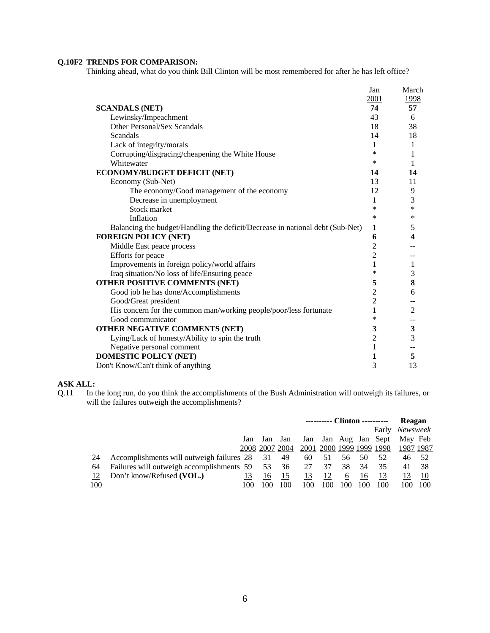# **Q.10F2 TRENDS FOR COMPARISON:**

Thinking ahead, what do you think Bill Clinton will be most remembered for after he has left office?

|                                                                               | Jan            | March          |
|-------------------------------------------------------------------------------|----------------|----------------|
|                                                                               | 2001           | 1998           |
| <b>SCANDALS (NET)</b>                                                         | 74             | 57             |
| Lewinsky/Impeachment                                                          | 43             | 6              |
| Other Personal/Sex Scandals                                                   | 18             | 38             |
| Scandals                                                                      | 14             | 18             |
| Lack of integrity/morals                                                      | 1              | 1              |
| Corrupting/disgracing/cheapening the White House                              | ∗              | 1              |
| Whitewater                                                                    | *              | 1              |
| ECONOMY/BUDGET DEFICIT (NET)                                                  | 14             | 14             |
| Economy (Sub-Net)                                                             | 13             | 11             |
| The economy/Good management of the economy                                    | 12             | 9              |
| Decrease in unemployment                                                      | 1              | 3              |
| Stock market                                                                  | *              | $\ast$         |
| Inflation                                                                     | ∗              | $\ast$         |
| Balancing the budget/Handling the deficit/Decrease in national debt (Sub-Net) | 1              | 5              |
| <b>FOREIGN POLICY (NET)</b>                                                   | 6              | 4              |
| Middle East peace process                                                     | $\overline{c}$ |                |
| Efforts for peace                                                             | $\overline{2}$ |                |
| Improvements in foreign policy/world affairs                                  | 1              | 1              |
| Iraq situation/No loss of life/Ensuring peace                                 | *              | 3              |
| OTHER POSITIVE COMMENTS (NET)                                                 | 5              | 8              |
| Good job he has done/Accomplishments                                          | $\overline{2}$ | 6              |
| Good/Great president                                                          | $\overline{c}$ |                |
| His concern for the common man/working people/poor/less fortunate             | 1              | $\overline{2}$ |
| Good communicator                                                             | ∗              |                |
| OTHER NEGATIVE COMMENTS (NET)                                                 | 3              | $\mathbf{3}$   |
| Lying/Lack of honesty/Ability to spin the truth                               | $\overline{2}$ | 3              |
| Negative personal comment                                                     | 1              |                |
| <b>DOMESTIC POLICY (NET)</b>                                                  | 1              | 5              |
| Don't Know/Can't think of anything                                            | 3              | 13             |
|                                                                               |                |                |

### **ASK ALL:**

Q.11 In the long run, do you think the accomplishments of the Bush Administration will outweigh its failures, or will the failures outweigh the accomplishments?

|     |                                              |     |                |     | ---------- Clinton ---------- |                          |     |     |                  | <b>Reagan</b>  |      |  |
|-----|----------------------------------------------|-----|----------------|-----|-------------------------------|--------------------------|-----|-----|------------------|----------------|------|--|
|     |                                              |     |                |     |                               |                          |     |     |                  | Early Newsweek |      |  |
|     |                                              | Jan | Jan            | Jan | Jan                           |                          |     |     | Jan Aug Jan Sept | May Feb        |      |  |
|     |                                              |     | 2008 2007 2004 |     |                               | 2001 2000 1999 1999 1998 |     |     |                  | 1987 1987      |      |  |
| 24  | Accomplishments will outweigh failures 28    |     | 31             | 49  | 60                            | 51                       | 56  | 50  | 52               | 46             | - 52 |  |
| 64  | Failures will outweigh accomplishments 59 53 |     |                | 36  | 27                            | 37                       | 38  | -34 | 35               | 41             | -38  |  |
| 12  | Don't know/Refused (VOL.)                    |     | 16             | 15  | 13                            | 12                       | b   | 16  |                  |                | 10   |  |
| 100 |                                              | 100 | $($ $()()$     | 100 | 100                           | l ()()                   | 100 | 100 | 100              | 100            | 100  |  |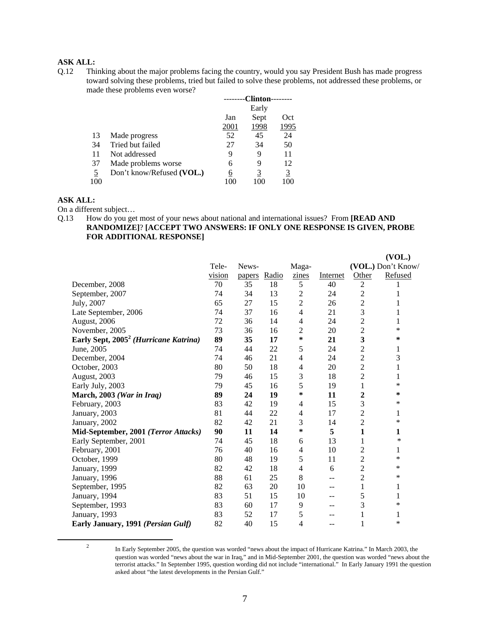Q.12 Thinking about the major problems facing the country, would you say President Bush has made progress toward solving these problems, tried but failed to solve these problems, not addressed these problems, or made these problems even worse?

|     |                           |      | <b>Clinton-</b> |          |
|-----|---------------------------|------|-----------------|----------|
|     |                           |      | Early           |          |
|     |                           | Jan  | Sept            | Oct      |
|     |                           | 2001 | 1998            | 1995     |
| 13  | Made progress             | 52   | 45              | 24       |
| 34  | Tried but failed          | 27   | 34              | 50       |
| 11  | Not addressed             | 9    | 9               | 11       |
| 37  | Made problems worse       | 6    | 9               | 12       |
| 5   | Don't know/Refused (VOL.) | 6    | 3               | <u>3</u> |
| 100 |                           | 10C  | 100             | 100      |
|     |                           |      |                 |          |

# **ASK ALL:**

On a different subject…

### Q.13 How do you get most of your news about national and international issues? From **[READ AND RANDOMIZE]**? **[ACCEPT TWO ANSWERS: IF ONLY ONE RESPONSE IS GIVEN, PROBE FOR ADDITIONAL RESPONSE]**

|                                                   |        |        |       |                          |          |                | (VOL.)             |
|---------------------------------------------------|--------|--------|-------|--------------------------|----------|----------------|--------------------|
|                                                   | Tele-  | News-  |       | Maga-                    |          |                | (VOL.) Don't Know/ |
|                                                   | vision | papers | Radio | zines                    | Internet | Other          | Refused            |
| December, 2008                                    | 70     | 35     | 18    | $\mathfrak s$            | 40       | $\overline{c}$ |                    |
| September, 2007                                   | 74     | 34     | 13    | $\overline{c}$           | 24       | $\overline{c}$ |                    |
| July, 2007                                        | 65     | 27     | 15    | $\overline{2}$           | 26       | $\overline{2}$ | 1                  |
| Late September, 2006                              | 74     | 37     | 16    | $\overline{\mathcal{L}}$ | 21       | 3              | 1                  |
| August, 2006                                      | 72     | 36     | 14    | 4                        | 24       | $\overline{c}$ | 1                  |
| November, 2005                                    | 73     | 36     | 16    | $\overline{c}$           | 20       | $\overline{2}$ | *                  |
| Early Sept, 2005 <sup>2</sup> (Hurricane Katrina) | 89     | 35     | 17    | ∗                        | 21       | 3              | ∗                  |
| June, 2005                                        | 74     | 44     | 22    | 5                        | 24       | 2              | 1                  |
| December, 2004                                    | 74     | 46     | 21    | 4                        | 24       | $\overline{c}$ | 3                  |
| October, 2003                                     | 80     | 50     | 18    | 4                        | 20       | $\overline{c}$ | 1                  |
| August, 2003                                      | 79     | 46     | 15    | 3                        | 18       | 2              | 1                  |
| Early July, 2003                                  | 79     | 45     | 16    | 5                        | 19       | 1              | *                  |
| March, 2003 (War in Iraq)                         | 89     | 24     | 19    | ∗                        | 11       | 2              | ∗                  |
| February, 2003                                    | 83     | 42     | 19    | 4                        | 15       | 3              | *                  |
| January, 2003                                     | 81     | 44     | 22    | 4                        | 17       | 2              | 1                  |
| January, 2002                                     | 82     | 42     | 21    | 3                        | 14       | 2              | *                  |
| Mid-September, 2001 (Terror Attacks)              | 90     | 11     | 14    | ∗                        | 5        | 1              | 1                  |
| Early September, 2001                             | 74     | 45     | 18    | 6                        | 13       | 1              | ∗                  |
| February, 2001                                    | 76     | 40     | 16    | 4                        | 10       | 2              | 1                  |
| October, 1999                                     | 80     | 48     | 19    | 5                        | 11       | $\overline{c}$ | *                  |
| January, 1999                                     | 82     | 42     | 18    | 4                        | 6        | $\overline{2}$ | *                  |
| January, 1996                                     | 88     | 61     | 25    | $8\,$                    | --       | $\overline{c}$ | *                  |
| September, 1995                                   | 82     | 63     | 20    | 10                       | --       | 1              | 1                  |
| January, 1994                                     | 83     | 51     | 15    | 10                       | --       | 5              | 1                  |
| September, 1993                                   | 83     | 60     | 17    | 9                        | --       | 3              | *                  |
| January, 1993                                     | 83     | 52     | 17    | 5                        | --       | 1              | 1                  |
| Early January, 1991 (Persian Gulf)                | 82     | 40     | 15    | 4                        | --       | 1              | *                  |
|                                                   |        |        |       |                          |          |                |                    |

 $\overline{\phantom{a}}$ 

<sup>&</sup>lt;sup>2</sup> In Early September 2005, the question was worded "news about the impact of Hurricane Katrina." In March 2003, the question was worded "news about the war in Iraq," and in Mid-September 2001, the question was worded "news about the terrorist attacks." In September 1995, question wording did not include "international." In Early January 1991 the question asked about "the latest developments in the Persian Gulf."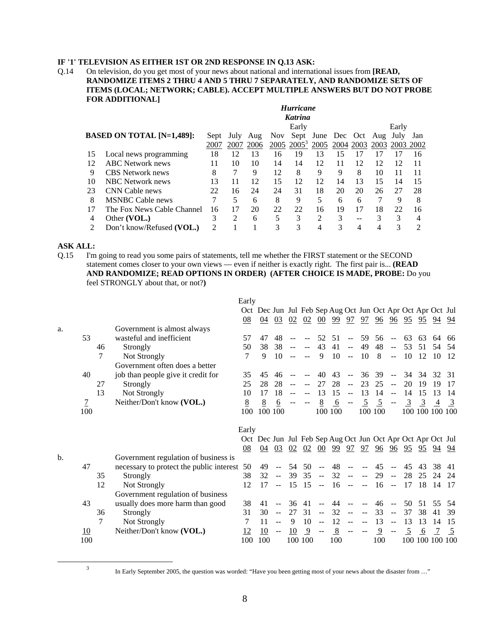# **IF '1' TELEVISION AS EITHER 1ST OR 2ND RESPONSE IN Q.13 ASK:**

#### Q.14 On television, do you get most of your news about national and international issues from **[READ, RANDOMIZE ITEMS 2 THRU 4 AND 5 THRU 7 SEPARATELY, AND RANDOMIZE SETS OF ITEMS (LOCAL; NETWORK; CABLE). ACCEPT MULTIPLE ANSWERS BUT DO NOT PROBE FOR ADDITIONAL]**

|    | <b>Hurricane</b>                 |      |                |      |            |                |                   |    |           |     |                |     |
|----|----------------------------------|------|----------------|------|------------|----------------|-------------------|----|-----------|-----|----------------|-----|
|    |                                  |      |                |      |            | <b>Katrina</b> |                   |    |           |     |                |     |
|    |                                  |      |                |      |            | Early          |                   |    |           |     | Early          |     |
|    | <b>BASED ON TOTAL [N=1,489]:</b> | Sept | July           | Aug  | <b>Nov</b> |                | Sept June Dec Oct |    |           | Aug | July           | Jan |
|    |                                  | 2007 | 2007           | 2006 |            | $2005\ 2005^3$ | 2005              |    | 2004 2003 |     | 2003 2003 2002 |     |
| 15 | Local news programming           | 18   | 12             | 13   | 16         | 19             | 13                | 15 | 17        | 17  | 17             | 16  |
| 12 | <b>ABC</b> Network news          | 11   | 10             | 10   | 14         | 14             | 12                | 11 | 12        | 12  | 12             | 11  |
| 9  | CBS Network news                 | 8    |                | 9    | 12         | 8              | 9                 | 9  | 8         | 10  | 11             | 11  |
| 10 | <b>NBC</b> Network news          | 13   | 11             | 12   | 15         | 12             | 12                | 14 | 13        | 15  | 14             | 15  |
| 23 | CNN Cable news                   | 22   | 16             | 24   | 24         | 31             | 18                | 20 | 20        | 26  | 27             | 28  |
| 8  | <b>MSNBC</b> Cable news          |      | 5              | 6    | 8          | 9              | 5                 | 6  | 6         |     | 9              | 8   |
| 17 | The Fox News Cable Channel       | 16   | 17             | 20   | 22         | 22             | 16                | 19 | 17        | 18  | 22             | 16  |
| 4  | Other (VOL.)                     | 3    | $\mathfrak{D}$ | 6    | 5          | 3              | 2                 | 3  | --        | 3   | 3              | 4   |
|    | Don't know/Refused (VOL.)        | 2    |                |      | 3          |                |                   |    |           |     |                |     |

# **ASK ALL:**

Q.15 I'm going to read you some pairs of statements, tell me whether the FIRST statement or the SECOND statement comes closer to your own views — even if neither is exactly right. The first pair is... **(READ AND RANDOMIZE; READ OPTIONS IN ORDER) (AFTER CHOICE IS MADE, PROBE:** Do you feel STRONGLY about that, or not?**)**

|    |                |    |                                          | Early                                                       |    |                         |    |    |                         |         |                                       |                          |                |                           |                |                                |                |                |
|----|----------------|----|------------------------------------------|-------------------------------------------------------------|----|-------------------------|----|----|-------------------------|---------|---------------------------------------|--------------------------|----------------|---------------------------|----------------|--------------------------------|----------------|----------------|
|    |                |    |                                          | Oct Dec Jun Jul Feb Sep Aug Oct Jun Oct Apr Oct Apr Oct Jul |    |                         |    |    |                         |         |                                       |                          |                |                           |                |                                |                |                |
|    |                |    |                                          | 08                                                          | 04 | 03                      | 02 | 02 | 00                      | 99      | 97                                    | 97                       | 96             | 96                        |                | <u>95 95 94</u>                |                | 94             |
| a. |                |    | Government is almost always              |                                                             |    |                         |    |    |                         |         |                                       |                          |                |                           |                |                                |                |                |
|    | 53             |    | wasteful and inefficient                 | 57                                                          | 47 | 48                      |    |    | 52                      | 51      | $\overline{a}$                        | 59                       | 56             | $\overline{a}$            | 63             | 63                             | 64             | 66             |
|    |                | 46 | Strongly                                 | 50                                                          | 38 | 38                      |    |    | 43                      | 41      | $\mathcal{L} \mathcal{L}$             | 49                       | 48             | $\mathbb{H}^{\mathbb{H}}$ | 53             | 51                             | 54             | .54            |
|    |                | 7  | Not Strongly                             | 7                                                           | 9  | 10                      |    |    | 9                       | 10      | $\sim$ $\sim$                         | 10                       | 8              | $\mathbb{L}^{\mathbb{L}}$ | 10             | 12                             | 10             | -12            |
|    |                |    | Government often does a better           |                                                             |    |                         |    |    |                         |         |                                       |                          |                |                           |                |                                |                |                |
|    | 40             |    | job than people give it credit for       | 35                                                          | 45 | 46                      |    |    | 40                      | 43      | $-$                                   | 36                       | 39             | $\overline{a}$            |                | 34 34                          | 32             | 31             |
|    |                | 27 | Strongly                                 | 25                                                          | 28 | 28                      |    |    | 27                      | 28      | $\sim$ $\sim$                         | 23                       | 25             | $\mathbf{u}$              | 20             | 19                             | 19             | 17             |
|    |                | 13 | Not Strongly                             | 10                                                          | 17 | 18                      |    |    | 13                      | 15      | $\mathcal{L} \mathcal{L}$             | 13                       | 14             | $\mathbf{u}$              | 14             | 15                             | 13             | 14             |
|    | $\overline{1}$ |    | Neither/Don't know (VOL.)                | 8                                                           | 8  | $6\overline{6}$         |    |    | 8                       | 6       | $\sim$ $-$                            | $\overline{5}$           | $\overline{5}$ |                           | $\overline{3}$ | $\overline{3}$                 | $\overline{4}$ | $\overline{3}$ |
|    | 100            |    |                                          | 100                                                         |    | 100 100                 |    |    |                         | 100 100 |                                       |                          | 100 100        |                           |                | 100 100 100 100                |                |                |
|    |                |    |                                          |                                                             |    |                         |    |    |                         |         |                                       |                          |                |                           |                |                                |                |                |
|    |                |    |                                          | Early                                                       |    |                         |    |    |                         |         |                                       |                          |                |                           |                |                                |                |                |
|    |                |    |                                          | Oct Dec Jun Jul Feb Sep Aug Oct Jun Oct Apr Oct Apr Oct Jul |    |                         |    |    |                         |         |                                       |                          |                |                           |                |                                |                |                |
|    |                |    |                                          | 08                                                          |    | 04 03                   | 02 |    | 02 00                   | 99      |                                       |                          |                |                           |                | <u>97 97 96 96 95 95 94 94</u> |                |                |
| b. |                |    | Government regulation of business is     |                                                             |    |                         |    |    |                         |         |                                       |                          |                |                           |                |                                |                |                |
|    | 47             |    | necessary to protect the public interest | 50                                                          | 49 |                         | 54 | 50 |                         | 48      | $-$                                   |                          | 45             |                           | 45             | 43                             | 38             | 41             |
|    |                | 35 | Strongly                                 | 38                                                          | 32 | $\mathbb{L} \mathbb{L}$ | 39 | 35 | $\mathbb{L} \mathbb{L}$ | 32      | $\sim$ $\sim$                         | $ -$                     | 29             | $\mathbb{L} \mathbb{L}$   | 28             | 25                             | 24             | 24             |
|    |                |    |                                          |                                                             |    |                         |    |    |                         |         |                                       |                          |                |                           |                |                                |                | 17             |
|    |                | 12 | Not Strongly                             | 12                                                          | 17 |                         | 15 | 15 | $\sim$ $\sim$           | 16      | $\sim$ $\sim$                         | $\sim$ $\sim$            | -16            | $\sim$ $\sim$             | 17             | 18                             | 14             |                |
|    |                |    | Government regulation of business        |                                                             |    |                         |    |    |                         |         |                                       |                          |                |                           |                |                                |                |                |
|    | 43             |    | usually does more harm than good         | 38                                                          | 41 |                         | 36 | 41 |                         | 44      | $\hspace{0.05cm}$ – $\hspace{0.05cm}$ |                          | 46             | $\sim$                    | 50             | 51                             | 55             | .54            |
|    |                | 36 | Strongly                                 | 31                                                          | 30 |                         | 27 | 31 | $\mathbb{L} \mathbb{L}$ | 32      | $\sim$ $\sim$                         |                          | 33             | $\overline{a}$            | 37             | 38                             | 41             | 39             |
|    |                | 7  | Not Strongly                             | 7                                                           | 11 |                         | 9  | 10 | $\rightarrow$           | 12      | $ -$                                  | $\sim$                   | 13             | $\sim$                    | 13             | 13                             | 14             | 15             |
|    | 10             |    | Neither/Don't know (VOL.)                | 12                                                          | 10 |                         | 10 | 9  | $\sim$ $-$              | 8       | $\overline{\phantom{m}}$              | $\overline{\phantom{m}}$ | $\overline{9}$ | $\sim$ $\sim$             | 5              | 6                              |                | 5              |

3

In Early September 2005, the question was worded: "Have you been getting most of your news about the disaster from …"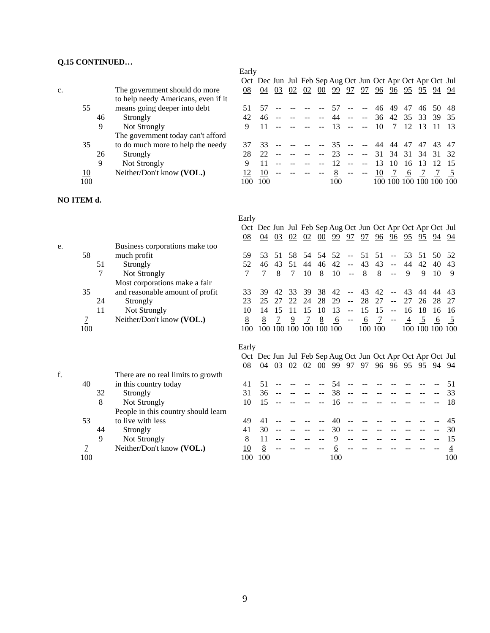# **Q.15 CONTINUED…**

|    |     |    |                                     | Early |     |    |    |    |    |                                                             |               |                          |    |         |    |                 |       |     |
|----|-----|----|-------------------------------------|-------|-----|----|----|----|----|-------------------------------------------------------------|---------------|--------------------------|----|---------|----|-----------------|-------|-----|
|    |     |    |                                     |       |     |    |    |    |    | Oct Dec Jun Jul Feb Sep Aug Oct Jun Oct Apr Oct Apr Oct Jul |               |                          |    |         |    |                 |       |     |
| c. |     |    | The government should do more       | 08    | 04  | 03 | 02 | 02 | 00 | 99                                                          | 97            | 97                       | 96 | 96      | 95 | 95              | 94    | 94  |
|    |     |    | to help needy Americans, even if it |       |     |    |    |    |    |                                                             |               |                          |    |         |    |                 |       |     |
|    | 55  |    | means going deeper into debt        |       |     |    |    |    |    | 57                                                          | $\sim$ $\sim$ | $\mathbf{u}$             | 46 | 49      | 47 | 46              | 50    | -48 |
|    |     | 46 | Strongly                            | 42    | 46  |    |    |    |    |                                                             |               | $\sim$ $\sim$            | 36 | 42      | 35 | 33              | 39    | -35 |
|    |     | 9  | Not Strongly                        | 9     |     |    |    |    |    | 13                                                          |               | $ -$                     | 10 |         | 12 | -13             |       |     |
|    |     |    | The government today can't afford   |       |     |    |    |    |    |                                                             |               |                          |    |         |    |                 |       |     |
|    | 35  |    | to do much more to help the needy   |       | 33  |    |    |    |    |                                                             |               |                          | 44 | 44      | 47 | 47              | 43.   | -47 |
|    |     | 26 | Strongly                            |       | 22  |    |    |    |    |                                                             | $- -$         | $\overline{\phantom{a}}$ | 31 | 34      | 31 | -34             | 31 32 |     |
|    |     | 9  | Not Strongly                        | Q     |     |    |    |    |    |                                                             |               |                          | 13 | 10      | 16 | 13              | 12    |     |
|    | 10  |    | Neither/Don't know (VOL.)           |       | 10  |    |    |    |    |                                                             | $\sim$ $\sim$ | $\sim$ $\sim$            | 10 |         | 6  |                 |       |     |
|    | 100 |    |                                     | 100   | 100 |    |    |    |    | 100                                                         |               |                          |    | 100 100 |    | 100 100 100 100 |       |     |
|    |     |    |                                     |       |     |    |    |    |    |                                                             |               |                          |    |         |    |                 |       |     |

# **NO ITEM d.**

|    |                |    |                                     | Early                                                       |                                                             |    |        |    |                         |          |                          |    |            |                                               |                |                                                                 |    |                |
|----|----------------|----|-------------------------------------|-------------------------------------------------------------|-------------------------------------------------------------|----|--------|----|-------------------------|----------|--------------------------|----|------------|-----------------------------------------------|----------------|-----------------------------------------------------------------|----|----------------|
|    |                |    |                                     |                                                             | Oct Dec Jun Jul Feb Sep Aug Oct Jun Oct Apr Oct Apr Oct Jul |    |        |    |                         |          |                          |    |            |                                               |                |                                                                 |    |                |
|    |                |    |                                     | $\underline{08}$                                            | 04                                                          | 03 | 02     | 02 | $00\,$                  | -99      | 97                       | 97 | 96         | 96                                            |                | $\frac{95}{2}$ $\frac{95}{2}$ $\frac{94}{2}$                    |    | 94             |
| e. |                |    | Business corporations make too      |                                                             |                                                             |    |        |    |                         |          |                          |    |            |                                               |                |                                                                 |    |                |
|    | 58             |    | much profit                         | 59                                                          | 53                                                          | 51 | 58     | 54 | 54                      | 52       | $\sim$ $\sim$            | 51 | 51         | $-$                                           | 53             | 51                                                              | 50 | 52             |
|    |                | 51 | Strongly                            | 52                                                          | 46                                                          | 43 | 51     | 44 | 46                      | 42       | $\overline{\phantom{m}}$ | 43 | 43         | $\sim$ $\sim$                                 | 44             | 42                                                              | 40 | 43             |
|    |                | 7  | Not Strongly                        | 7                                                           | 7                                                           | 8  | $\tau$ | 10 | 8                       | 10       | $\sim$ $\sim$            | 8  | 8          | $\mathbb{L}$ .                                | 9              | 9                                                               | 10 | 9              |
|    |                |    | Most corporations make a fair       |                                                             |                                                             |    |        |    |                         |          |                          |    |            |                                               |                |                                                                 |    |                |
|    | 35             |    | and reasonable amount of profit     | 33                                                          | 39                                                          | 42 | 33     | 39 | 38                      | 42       |                          | 43 | 42         |                                               | 43             | 44                                                              | 44 | 43             |
|    |                | 24 | Strongly                            | 23                                                          | 25                                                          | 27 | 22     | 24 | 28                      | 29       | $\sim$ $\sim$            | 28 | 27         | $\sim$ $\sim$                                 | 27             | 26                                                              | 28 | 27             |
|    |                | 11 | Not Strongly                        | 10                                                          | 14                                                          | 15 | 11     | 15 | 10                      | 13       | $\mathbf{u}$             | 15 | 15         | $\sim$ $\sim$                                 | 16             | 18                                                              | 16 | 16             |
|    | $\overline{1}$ |    | Neither/Don't know (VOL.)           | 8                                                           | 8                                                           | 7  | 9      | 7  | 8                       | 6        |                          | 6  | $\sqrt{7}$ | $\mathord{\hspace{1pt}\text{--}\hspace{1pt}}$ | $\overline{4}$ | $\overline{5}$                                                  | 6  | $\overline{2}$ |
|    | 100            |    |                                     | 100                                                         |                                                             |    |        |    | 100 100 100 100 100 100 |          |                          |    | 100 100    |                                               |                | 100 100 100 100                                                 |    |                |
|    |                |    |                                     |                                                             |                                                             |    |        |    |                         |          |                          |    |            |                                               |                |                                                                 |    |                |
|    |                |    |                                     |                                                             |                                                             |    |        |    |                         |          |                          |    |            |                                               |                |                                                                 |    |                |
|    |                |    |                                     | Early                                                       |                                                             |    |        |    |                         |          |                          |    |            |                                               |                |                                                                 |    |                |
|    |                |    |                                     | Oct Dec Jun Jul Feb Sep Aug Oct Jun Oct Apr Oct Apr Oct Jul |                                                             |    |        |    |                         |          |                          |    |            |                                               |                |                                                                 |    |                |
|    |                |    |                                     | 08                                                          | 04                                                          | 03 | 02     | 02 | $00\,$                  | 99       | 97                       | 97 |            |                                               |                | $\frac{96}{96}$ $\frac{96}{95}$ $\frac{95}{95}$ $\frac{94}{94}$ |    | 94             |
| f. |                |    | There are no real limits to growth  |                                                             |                                                             |    |        |    |                         |          |                          |    |            |                                               |                |                                                                 |    |                |
|    | 40             |    | in this country today               | 41                                                          | 51                                                          |    |        |    |                         | 54       |                          |    |            |                                               |                |                                                                 |    | 51             |
|    |                | 32 | Strongly                            | 31                                                          | 36                                                          |    |        |    |                         | 38       |                          |    |            |                                               |                |                                                                 |    | 33             |
|    |                | 8  | Not Strongly                        | 10                                                          | 15                                                          |    |        |    |                         | 16       |                          |    |            |                                               |                |                                                                 |    | 18             |
|    |                |    | People in this country should learn |                                                             |                                                             |    |        |    |                         |          |                          |    |            |                                               |                |                                                                 |    |                |
|    | 53             |    | to live with less                   | 49                                                          | 41                                                          |    |        |    |                         | 40       |                          |    |            |                                               |                |                                                                 |    | 45             |
|    |                | 44 | Strongly                            | 41                                                          | 30                                                          |    |        |    |                         | 30       |                          |    |            |                                               |                |                                                                 |    | 30             |
|    |                | 9  | Not Strongly                        | 8                                                           | 11                                                          |    |        |    |                         | 9        |                          |    |            |                                               |                |                                                                 |    | 15             |
|    | <u>7</u>       |    | Neither/Don't know (VOL.)           | 10                                                          | 8                                                           |    |        |    |                         | <u>6</u> |                          |    |            |                                               |                |                                                                 |    | $\overline{4}$ |

9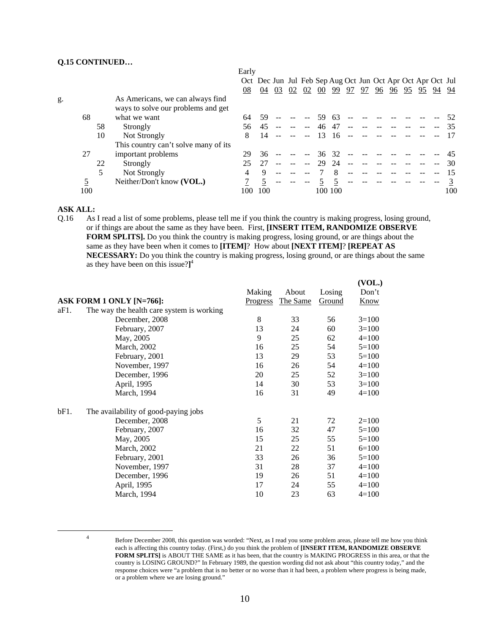#### **Q.15 CONTINUED…**

|    |     |    |                                                                        | Early |                                                             |    |    |    |        |         |    |    |    |    |       |    |     |
|----|-----|----|------------------------------------------------------------------------|-------|-------------------------------------------------------------|----|----|----|--------|---------|----|----|----|----|-------|----|-----|
|    |     |    |                                                                        |       | Oct Dec Jun Jul Feb Sep Aug Oct Jun Oct Apr Oct Apr Oct Jul |    |    |    |        |         |    |    |    |    |       |    |     |
|    |     |    |                                                                        | 08    | 04                                                          | 03 | 02 | 02 | $00\,$ | 99      | 97 | 97 | 96 | 96 | 95 95 | 94 | 94  |
| g. |     |    | As Americans, we can always find<br>ways to solve our problems and get |       |                                                             |    |    |    |        |         |    |    |    |    |       |    |     |
|    | 68  |    | what we want                                                           | 64    | 59                                                          |    |    |    | 59     | 63      |    |    |    |    |       |    | 52  |
|    |     | 58 | Strongly                                                               | 56.   | 45                                                          |    |    |    | 46     | 47      |    |    |    |    |       |    |     |
|    |     | 10 | Not Strongly                                                           | 8     | 14                                                          |    |    |    | 13     | 16      |    |    |    |    |       |    |     |
|    |     |    | This country can't solve many of its                                   |       |                                                             |    |    |    |        |         |    |    |    |    |       |    |     |
|    | 27  |    | important problems                                                     | 29    | 36                                                          |    |    |    | 36     | -32     |    |    |    |    |       |    |     |
|    |     | 22 | Strongly                                                               |       | 27                                                          |    |    |    | 29     | 24      |    |    |    |    |       |    | 30  |
|    |     | 5  | Not Strongly                                                           | 4     | 9                                                           |    |    |    |        |         |    |    |    |    |       |    |     |
|    |     |    | Neither/Don't know (VOL.)                                              |       |                                                             |    |    |    |        |         |    |    |    |    |       |    |     |
|    | 100 |    |                                                                        | LOO   | 100                                                         |    |    |    |        | 100 100 |    |    |    |    |       |    | 100 |

### **ASK ALL:**

Q.16 As I read a list of some problems, please tell me if you think the country is making progress, losing ground, or if things are about the same as they have been. First, **[INSERT ITEM, RANDOMIZE OBSERVE FORM SPLITS].** Do you think the country is making progress, losing ground, or are things about the same as they have been when it comes to **[ITEM]**? How about **[NEXT ITEM]**? **[REPEAT AS NECESSARY:** Do you think the country is making progress, losing ground, or are things about the same as they have been on this issue?**]** 4

| ASK FORM 1 ONLY [N=766]:                                            | Making<br><b>Progress</b> | About<br>The Same | Losing<br>Ground | (VOL.)<br>Don't<br><b>Know</b> |
|---------------------------------------------------------------------|---------------------------|-------------------|------------------|--------------------------------|
| aF1.<br>The way the health care system is working<br>December, 2008 | 8                         | 33                | 56               | $3=100$                        |
|                                                                     | 13                        | 24                | 60               | $3=100$                        |
| February, 2007<br>May, 2005                                         | 9                         | 25                | 62               | $4=100$                        |
| March, 2002                                                         | 16                        | 25                | 54               | $5=100$                        |
| February, 2001                                                      | 13                        | 29                | 53               | $5=100$                        |
| November, 1997                                                      | 16                        | 26                | 54               | $4=100$                        |
| December, 1996                                                      | 20                        | 25                | 52               | $3=100$                        |
| April, 1995                                                         | 14                        | 30                | 53               | $3=100$                        |
| March, 1994                                                         | 16                        | 31                | 49               | $4=100$                        |
| bF1.<br>The availability of good-paying jobs                        |                           |                   |                  |                                |
| December, 2008                                                      | 5                         | 21                | 72               | $2=100$                        |
| February, 2007                                                      | 16                        | 32                | 47               | $5=100$                        |
| May, 2005                                                           | 15                        | 25                | 55               | $5=100$                        |
| March, 2002                                                         | 21                        | 22                | 51               | $6=100$                        |
| February, 2001                                                      | 33                        | 26                | 36               | $5=100$                        |
| November, 1997                                                      | 31                        | 28                | 37               | $4=100$                        |
| December, 1996                                                      | 19                        | 26                | 51               | $4 = 100$                      |
| April, 1995                                                         | 17                        | 24                | 55               | $4=100$                        |
| March, 1994                                                         | 10                        | 23                | 63               | $4 = 100$                      |

 $\frac{1}{4}$ 

Before December 2008, this question was worded: "Next, as I read you some problem areas, please tell me how you think each is affecting this country today. (First,) do you think the problem of **[INSERT ITEM, RANDOMIZE OBSERVE FORM SPLITS]** is ABOUT THE SAME as it has been, that the country is MAKING PROGRESS in this area, or that the country is LOSING GROUND?" In February 1989, the question wording did not ask about "this country today," and the response choices were "a problem that is no better or no worse than it had been, a problem where progress is being made, or a problem where we are losing ground."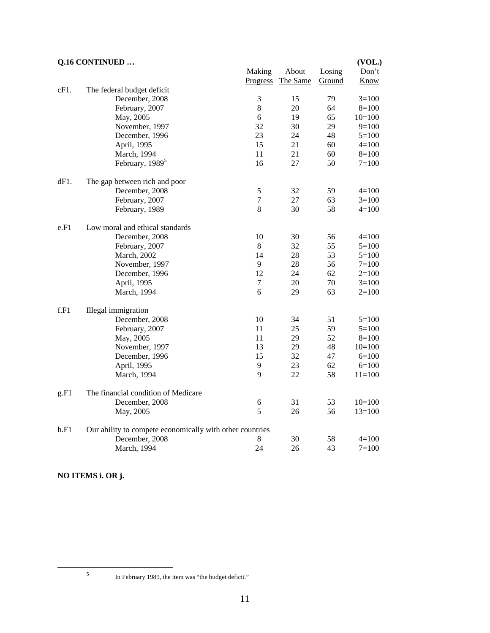# **Q.16 CONTINUED … (VOL.)**  Making About Losing Don't Progress The Same Ground Know cF1. The federal budget deficit December, 2008 3 15 79 3=100 February, 2007 8 20 64 8=100 May, 2005 6 19 65 10=100 November, 1997 32 30 29 9=100 December, 1996 23 24 48 5=100<br>April 1995 15 21 60 4=100 April, 1995 15 21 60 4=100 March, 1994 11 21 60 8=100 February,  $1989^5$  16 27 50 7=100 dF1. The gap between rich and poor December, 2008 5 32 59 4=100 February, 2007 7 27 63 3=100 February, 1989 8 30 58 4=100 e.F1 Low moral and ethical standards December, 2008 10 30 56 4=100 February, 2007 8 32 55 5=100 March, 2002 14 28 53 5=100 November, 1997 9 28 56 7=100<br>December, 1996 12 24 62 2=100 December, 1996 12 24 62 2=100<br>April 1995 7 20 70 3=100 April, 1995 7 20 70 3=100 March, 1994 6 6 29 63 2=100 f.F1 Illegal immigration December, 2008 10 34 51 5=100 February, 2007 11 25 59 5=100 May, 2005 11 29 52 8=100 November, 1997 13 29 48 10=100 December, 1996 15 32 47 6=100 April, 1995 9 23 62 6=100 March, 1994 9 22 58 11=100 g.F1 The financial condition of Medicare December, 2008 6 31 53 10=100 May, 2005 5 26 56 13=100 h.F1 Our ability to compete economically with other countries December, 2008 8 30 58 4=100<br>March, 1994 24 26 43 7=100 March, 1994 24 26

**NO ITEMS i. OR j.** 

 $\frac{1}{5}$ 

In February 1989, the item was "the budget deficit."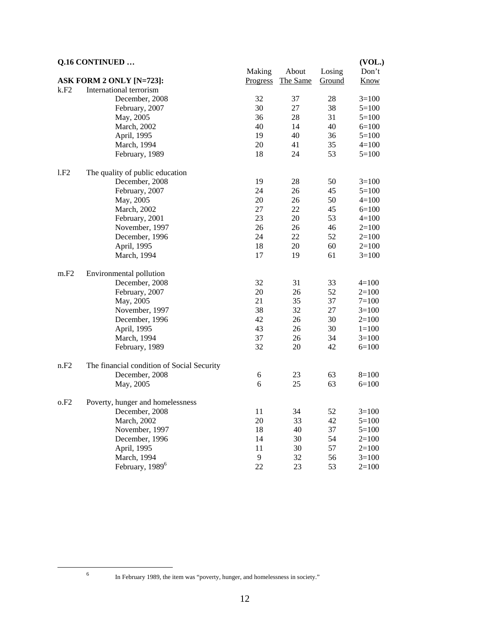|      | Q.16 CONTINUED                             |                    |                   |                  | (VOL.)        |
|------|--------------------------------------------|--------------------|-------------------|------------------|---------------|
|      | ASK FORM 2 ONLY [N=723]:                   | Making<br>Progress | About<br>The Same | Losing<br>Ground | Don't<br>Know |
| k.F2 | International terrorism                    |                    |                   |                  |               |
|      | December, 2008                             | 32                 | 37                | 28               | $3=100$       |
|      | February, 2007                             | 30                 | 27                | 38               | $5 = 100$     |
|      | May, 2005                                  | 36                 | 28                | 31               | $5 = 100$     |
|      | March, 2002                                | 40                 | 14                | 40               | $6=100$       |
|      | April, 1995                                | 19                 | 40                | 36               | $5=100$       |
|      | March, 1994                                | 20                 | 41                | 35               | $4 = 100$     |
|      | February, 1989                             | 18                 | 24                | 53               | $5=100$       |
| 1.F2 | The quality of public education            |                    |                   |                  |               |
|      | December, 2008                             | 19                 | 28                | 50               | $3=100$       |
|      | February, 2007                             | 24                 | 26                | 45               | $5=100$       |
|      | May, 2005                                  | 20                 | 26                | 50               | $4 = 100$     |
|      | March, 2002                                | 27                 | 22                | 45               | $6=100$       |
|      | February, 2001                             | 23                 | 20                | 53               | $4=100$       |
|      | November, 1997                             | 26                 | 26                | 46               | $2=100$       |
|      | December, 1996                             | 24                 | 22                | 52               | $2=100$       |
|      | April, 1995                                | 18                 | 20                | 60               | $2=100$       |
|      | March, 1994                                | 17                 | 19                | 61               | $3=100$       |
| m.F2 | Environmental pollution                    |                    |                   |                  |               |
|      | December, 2008                             | 32                 | 31                | 33               | $4=100$       |
|      | February, 2007                             | 20                 | 26                | 52               | $2=100$       |
|      | May, 2005                                  | 21                 | 35                | 37               | $7 = 100$     |
|      | November, 1997                             | 38                 | 32                | 27               | $3=100$       |
|      | December, 1996                             | 42                 | 26                | 30               | $2=100$       |
|      | April, 1995                                | 43                 | 26                | 30               | $1=100$       |
|      | March, 1994                                | 37                 | 26                | 34               | $3=100$       |
|      | February, 1989                             | 32                 | 20                | 42               | $6=100$       |
| n.F2 | The financial condition of Social Security |                    |                   |                  |               |
|      | December, 2008                             | 6                  | 23                | 63               | $8=100$       |
|      | May, 2005                                  | 6                  | 25                | 63               | $6=100$       |
| 0.F2 | Poverty, hunger and homelessness           |                    |                   |                  |               |
|      | December, 2008                             | 11                 | 34                | 52               | $3=100$       |
|      | March, 2002                                | 20                 | 33                | 42               | $5 = 100$     |
|      | November, 1997                             | 18                 | 40                | 37               | $5 = 100$     |
|      | December, 1996                             | 14                 | 30                | 54               | $2=100$       |
|      | April, 1995                                | 11                 | 30                | 57               | $2=100$       |
|      | March, 1994                                | 9                  | 32                | 56               | $3=100$       |
|      | February, 1989 <sup>6</sup>                | 22                 | 23                | 53               | $2=100$       |

6

In February 1989, the item was "poverty, hunger, and homelessness in society."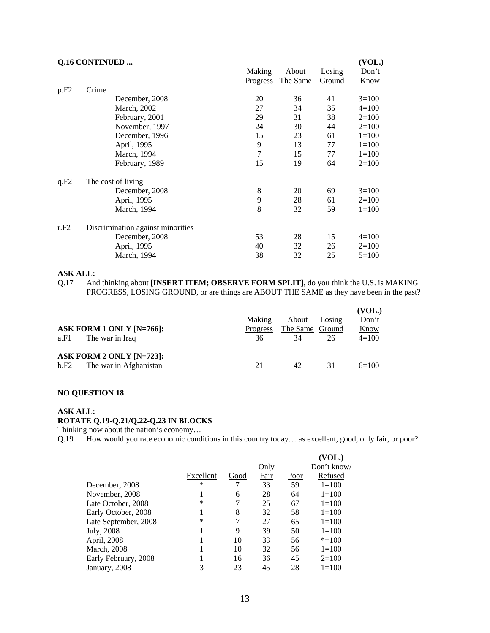|      | <b>Q.16 CONTINUED </b>            |                 |          |        | (VOL.)      |
|------|-----------------------------------|-----------------|----------|--------|-------------|
|      |                                   | Making          | About    | Losing | Don't       |
|      |                                   | <b>Progress</b> | The Same | Ground | <b>Know</b> |
| p.F2 | Crime                             |                 |          |        |             |
|      | December, 2008                    | 20              | 36       | 41     | $3=100$     |
|      | March, 2002                       | 27              | 34       | 35     | $4=100$     |
|      | February, 2001                    | 29              | 31       | 38     | $2=100$     |
|      | November, 1997                    | 24              | 30       | 44     | $2=100$     |
|      | December, 1996                    | 15              | 23       | 61     | $1 = 100$   |
|      | April, 1995                       | 9               | 13       | 77     | $1 = 100$   |
|      | March, 1994                       | $\tau$          | 15       | 77     | $1 = 100$   |
|      | February, 1989                    | 15              | 19       | 64     | $2=100$     |
| q.F2 | The cost of living                |                 |          |        |             |
|      | December, 2008                    | $\,$ 8 $\,$     | 20       | 69     | $3=100$     |
|      | April, 1995                       | 9               | 28       | 61     | $2=100$     |
|      | March, 1994                       | 8               | 32       | 59     | $1 = 100$   |
| r.F2 | Discrimination against minorities |                 |          |        |             |
|      | December, 2008                    | 53              | 28       | 15     | $4=100$     |
|      | April, 1995                       | 40              | 32       | 26     | $2=100$     |
|      | March, 1994                       | 38              | 32       | 25     | $5=100$     |
|      |                                   |                 |          |        |             |

Q.17 And thinking about **[INSERT ITEM; OBSERVE FORM SPLIT]**, do you think the U.S. is MAKING PROGRESS, LOSING GROUND, or are things are ABOUT THE SAME as they have been in the past?

| ASK FORM 1 ONLY $[N=766]$ :<br>The war in Iraq<br>a.F1     | <b>Making</b><br><b>Progress</b><br>36 | About<br>The Same Ground<br>34 | Losing<br>26 | (VOL.)<br>Don't<br><b>Know</b><br>$4=100$ |
|------------------------------------------------------------|----------------------------------------|--------------------------------|--------------|-------------------------------------------|
| ASK FORM 2 ONLY [N=723]:<br>The war in Afghanistan<br>b.F2 | 21                                     | 42.                            | 31           | $6=100$                                   |

### **NO QUESTION 18**

# **ASK ALL:**

# **ROTATE Q.19-Q.21/Q.22-Q.23 IN BLOCKS**

Thinking now about the nation's economy…

Q.19 How would you rate economic conditions in this country today… as excellent, good, only fair, or poor?

|                      |           |      |      |      | (VOL.)      |
|----------------------|-----------|------|------|------|-------------|
|                      |           |      | Only |      | Don't know/ |
|                      | Excellent | Good | Fair | Poor | Refused     |
| December, 2008       | ∗         |      | 33   | 59   | $1 = 100$   |
| November, 2008       |           | 6    | 28   | 64   | $1 = 100$   |
| Late October, 2008   | ∗         | 7    | 25   | 67   | $1 = 100$   |
| Early October, 2008  | 1         | 8    | 32   | 58   | $1 = 100$   |
| Late September, 2008 | ∗         | 7    | 27   | 65   | $1 = 100$   |
| July, 2008           |           | 9    | 39   | 50   | $1 = 100$   |
| April, 2008          |           | 10   | 33   | 56   | $* = 100$   |
| <b>March</b> , 2008  |           | 10   | 32   | 56   | $1 = 100$   |
| Early February, 2008 |           | 16   | 36   | 45   | $2=100$     |
| January, 2008        | 3         | 23   | 45   | 28   | $1 = 100$   |
|                      |           |      |      |      |             |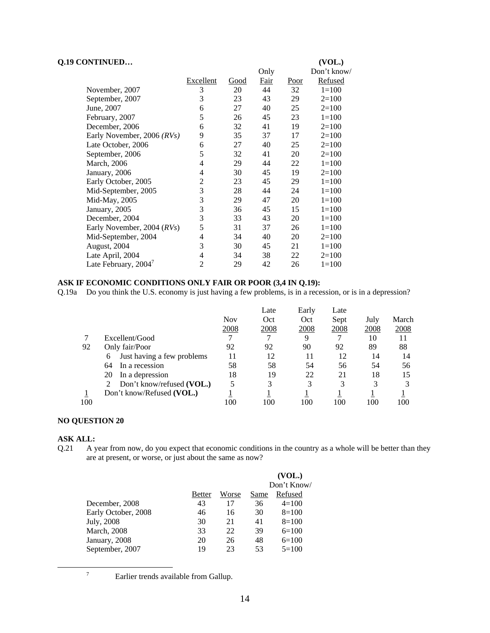| Q.19 CONTINUED             |                  |      |             |      | (VOL.)      |
|----------------------------|------------------|------|-------------|------|-------------|
|                            |                  |      | Only        |      | Don't know/ |
|                            | <b>Excellent</b> | Good | <b>Fair</b> | Poor | Refused     |
| November, 2007             | 3                | 20   | 44          | 32   | $1 = 100$   |
| September, 2007            | 3                | 23   | 43          | 29   | $2=100$     |
| June, 2007                 | 6                | 27   | 40          | 25   | $2=100$     |
| February, 2007             | 5                | 26   | 45          | 23   | $1 = 100$   |
| December, 2006             | 6                | 32   | 41          | 19   | $2=100$     |
| Early November, 2006 (RVs) | 9                | 35   | 37          | 17   | $2=100$     |
| Late October, 2006         | 6                | 27   | 40          | 25   | $2=100$     |
| September, 2006            | 5                | 32   | 41          | 20   | $2=100$     |
| March, 2006                | 4                | 29   | 44          | 22   | $1 = 100$   |
| January, 2006              | 4                | 30   | 45          | 19   | $2=100$     |
| Early October, 2005        | 2                | 23   | 45          | 29   | $1=100$     |
| Mid-September, 2005        | 3                | 28   | 44          | 24   | $1 = 100$   |
| Mid-May, 2005              | 3                | 29   | 47          | 20   | $1 = 100$   |
| January, 2005              | 3                | 36   | 45          | 15   | $1 = 100$   |
| December, 2004             | 3                | 33   | 43          | 20   | $1 = 100$   |
| Early November, 2004 (RVs) | 5                | 31   | 37          | 26   | $1=100$     |
| Mid-September, 2004        | 4                | 34   | 40          | 20   | $2=100$     |
| August, 2004               | 3                | 30   | 45          | 21   | $1 = 100$   |
| Late April, 2004           | 4                | 34   | 38          | 22   | $2=100$     |
| Late February, 2004        | 2                | 29   | 42          | 26   | $1=100$     |

# **ASK IF ECONOMIC CONDITIONS ONLY FAIR OR POOR (3,4 IN Q.19):**

Q.19a Do you think the U.S. economy is just having a few problems, is in a recession, or is in a depression?

|     |                                 |            | Late | Early | Late |      |       |
|-----|---------------------------------|------------|------|-------|------|------|-------|
|     |                                 | <b>Nov</b> | Oct  | Oct   | Sept | July | March |
|     |                                 | 2008       | 2008 | 2008  | 2008 | 2008 | 2008  |
|     | Excellent/Good                  |            |      | 9     |      | 10   | 11    |
| 92  | Only fair/Poor                  | 92         | 92   | 90    | 92   | 89   | 88    |
|     | Just having a few problems<br>6 | 11         | 12   | 11    | 12   | 14   | 14    |
|     | 64<br>In a recession            | 58         | 58   | 54    | 56   | 54   | 56    |
|     | In a depression<br>20           | 18         | 19   | 22    | 21   | 18   | 15    |
|     | Don't know/refused (VOL.)       | 5          | 3    | 3     | 3    | 3    |       |
|     | Don't know/Refused (VOL.)       |            |      |       |      |      |       |
| 100 |                                 | 100        | 100  | 100   | 100  | 100  | 100   |

# **NO QUESTION 20**

# **ASK ALL:**<br>Q.21 A y

A year from now, do you expect that economic conditions in the country as a whole will be better than they are at present, or worse, or just about the same as now?

|                     |               |       |      | (VOL.)      |
|---------------------|---------------|-------|------|-------------|
|                     |               |       |      | Don't Know/ |
|                     | <b>Better</b> | Worse | Same | Refused     |
| December, 2008      | 43            | 17    | 36   | $4=100$     |
| Early October, 2008 | 46            | 16    | 30   | $8=100$     |
| July, 2008          | 30            | 21    | 41   | $8=100$     |
| <b>March</b> , 2008 | 33            | 22    | 39   | $6=100$     |
| January, 2008       | 20            | 26    | 48   | $6=100$     |
| September, 2007     | 19            | 23    | 53   | $5=100$     |

7

<sup>7</sup> Earlier trends available from Gallup.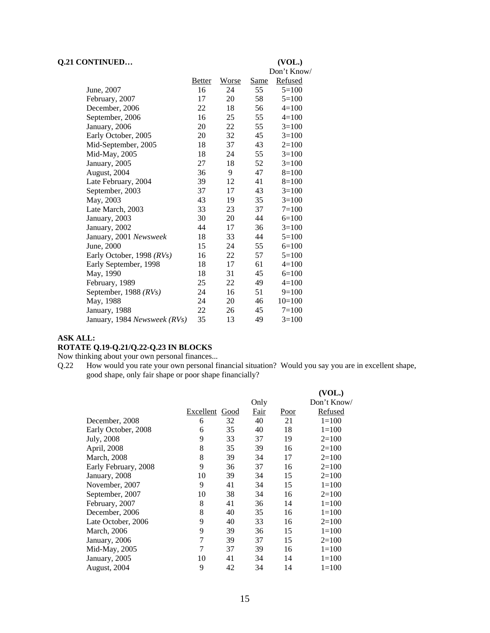#### **Q.21 CONTINUED… (VOL.)**

### Don't Know/ Better Worse Same Refused<br>16 24 55 5=100 June, 2007 16 24 55 February, 2007 17 20 58 5=100<br>December, 2006 22 18 56 4=100 December, 2006 22 18 56 September, 2006 16 25 55 4=100 January, 2006 20 22 55 3=100 Early October, 2005 20 32 45 3=100 Mid-September, 2005 18 37 43 2=100 Mid-May, 2005 18 24 55 3=100 Vanuary, 2005 27 18 52 3=100<br>August, 2004 36 9 47 8=100 August, 2004 36 9 47 8=100 Late February, 2004 39 12 41 8=100 September, 2003 37 17 43 3=100 May, 2003 43 19 35 3=100 Late March, 2003 33 33 23 37 7=100 January, 2003 30 20 44 6=100 January, 2002 44 17 36 3=100 January, 2001 *Newsweek* 18 33 44 5=100 June, 2000 15 24 55 6=100 Early October, 1998 *(RVs)* 16 22 57 5=100 Early September, 1998 18 17 61 4=100 May, 1990 18 31 45 6=100 February, 1989 25 22 49 4=100 September, 1988 *(RVs)* 24 16 51 9=100 May, 1988 24 20 46 10=100 January, 1988 22 26 45 7=100 January, 1984 *Newsweek (RVs)* 35 13 49 3=100

#### **ASK ALL:**

#### **ROTATE Q.19-Q.21/Q.22-Q.23 IN BLOCKS**

Now thinking about your own personal finances...

Q.22 How would you rate your own personal financial situation? Would you say you are in excellent shape, good shape, only fair shape or poor shape financially?

|                      |           |      |      |             | (VOL.)      |
|----------------------|-----------|------|------|-------------|-------------|
|                      |           |      | Only |             | Don't Know/ |
|                      | Excellent | Good | Fair | <u>Poor</u> | Refused     |
| December, 2008       | 6         | 32   | 40   | 21          | $1 = 100$   |
| Early October, 2008  | 6         | 35   | 40   | 18          | $1 = 100$   |
| July, 2008           | 9         | 33   | 37   | 19          | $2=100$     |
| April, 2008          | 8         | 35   | 39   | 16          | $2=100$     |
| <b>March</b> , 2008  | 8         | 39   | 34   | 17          | $2=100$     |
| Early February, 2008 | 9         | 36   | 37   | 16          | $2=100$     |
| January, 2008        | 10        | 39   | 34   | 15          | $2=100$     |
| November, 2007       | 9         | 41   | 34   | 15          | $1 = 100$   |
| September, 2007      | 10        | 38   | 34   | 16          | $2=100$     |
| February, 2007       | 8         | 41   | 36   | 14          | $1 = 100$   |
| December, 2006       | 8         | 40   | 35   | 16          | $1=100$     |
| Late October, 2006   | 9         | 40   | 33   | 16          | $2=100$     |
| <b>March</b> , 2006  | 9         | 39   | 36   | 15          | $1 = 100$   |
| January, 2006        | 7         | 39   | 37   | 15          | $2=100$     |
| Mid-May, 2005        | 7         | 37   | 39   | 16          | $1 = 100$   |
| January, 2005        | 10        | 41   | 34   | 14          | $1 = 100$   |
| August, 2004         | 9         | 42   | 34   | 14          | $1=100$     |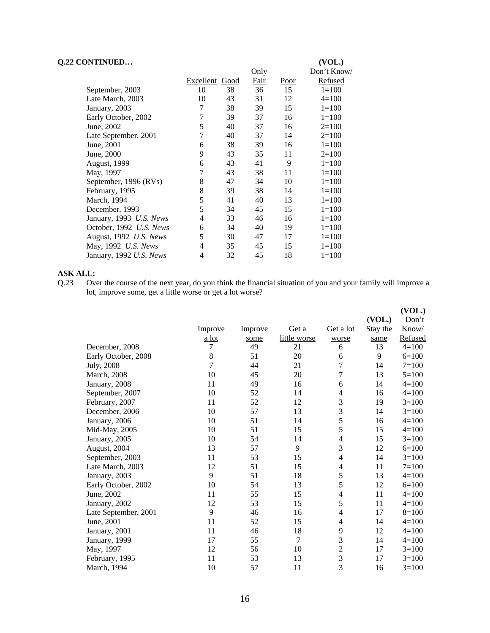| Q.22 CONTINUED          |                       |    | Only        |      | (VOL.)<br>Don't Know/ |
|-------------------------|-----------------------|----|-------------|------|-----------------------|
|                         | <b>Excellent</b> Good |    | <b>Fair</b> | Poor | <b>Refused</b>        |
| September, 2003         | 10                    | 38 | 36          | 15   | $1 = 100$             |
| Late March, 2003        | 10                    | 43 | 31          | 12   | $4=100$               |
| January, 2003           | 7                     | 38 | 39          | 15   | $1 = 100$             |
| Early October, 2002     | 7                     | 39 | 37          | 16   | $1 = 100$             |
| June, 2002              | 5                     | 40 | 37          | 16   | $2=100$               |
| Late September, 2001    | 7                     | 40 | 37          | 14   | $2=100$               |
| June, 2001              | 6                     | 38 | 39          | 16   | $1 = 100$             |
| June, 2000              | 9                     | 43 | 35          | 11   | $2=100$               |
| <b>August, 1999</b>     | 6                     | 43 | 41          | 9    | $1=100$               |
| May, 1997               | 7                     | 43 | 38          | 11   | $1=100$               |
| September, 1996 (RVs)   | 8                     | 47 | 34          | 10   | $1 = 100$             |
| February, 1995          | $\,8$                 | 39 | 38          | 14   | $1=100$               |
| March, 1994             | 5                     | 41 | 40          | 13   | $1=100$               |
| December, 1993          | 5                     | 34 | 45          | 15   | $1=100$               |
| January, 1993 U.S. News | 4                     | 33 | 46          | 16   | $1=100$               |
| October, 1992 U.S. News | 6                     | 34 | 40          | 19   | $1 = 100$             |
| August, 1992 U.S. News  | 5                     | 30 | 47          | 17   | $1=100$               |
| May, 1992 U.S. News     | 4                     | 35 | 45          | 15   | $1=100$               |
| January, 1992 U.S. News | $\overline{4}$        | 32 | 45          | 18   | $1 = 100$             |

**ASK ALL:**<br>Q.23 Ov Over the course of the next year, do you think the financial situation of you and your family will improve a lot, improve some, get a little worse or get a lot worse?

|                      |                |         |              |                |          | (VOL.)    |
|----------------------|----------------|---------|--------------|----------------|----------|-----------|
|                      |                |         |              |                | (VOL.)   | Don't     |
|                      | Improve        | Improve | Get a        | Get a lot      | Stay the | Know/     |
|                      | <u>a lot</u>   | some    | little worse | worse          | same     | Refused   |
| December, 2008       | 7              | 49      | 21           | 6              | 13       | $4 = 100$ |
| Early October, 2008  | $\,8\,$        | 51      | 20           | 6              | 9        | $6=100$   |
| July, 2008           | $\overline{7}$ | 44      | 21           | 7              | 14       | $7=100$   |
| <b>March</b> , 2008  | 10             | 45      | 20           | 7              | 13       | $5=100$   |
| January, 2008        | 11             | 49      | 16           | 6              | 14       | $4 = 100$ |
| September, 2007      | 10             | 52      | 14           | 4              | 16       | $4 = 100$ |
| February, 2007       | 11             | 52      | 12           | 3              | 19       | $3=100$   |
| December, 2006       | 10             | 57      | 13           | 3              | 14       | $3=100$   |
| January, 2006        | 10             | 51      | 14           | 5              | 16       | $4 = 100$ |
| Mid-May, 2005        | 10             | 51      | 15           | 5              | 15       | $4 = 100$ |
| January, 2005        | 10             | 54      | 14           | 4              | 15       | $3=100$   |
| August, 2004         | 13             | 57      | 9            | 3              | 12       | $6=100$   |
| September, 2003      | 11             | 53      | 15           | 4              | 14       | $3=100$   |
| Late March, 2003     | 12             | 51      | 15           | 4              | 11       | $7=100$   |
| January, 2003        | 9              | 51      | 18           | 5              | 13       | $4 = 100$ |
| Early October, 2002  | 10             | 54      | 13           | 5              | 12       | $6=100$   |
| June, 2002           | 11             | 55      | 15           | 4              | 11       | $4 = 100$ |
| January, 2002        | 12             | 53      | 15           | 5              | 11       | $4 = 100$ |
| Late September, 2001 | 9              | 46      | 16           | 4              | 17       | $8=100$   |
| June, 2001           | 11             | 52      | 15           | 4              | 14       | $4 = 100$ |
| January, 2001        | 11             | 46      | 18           | 9              | 12       | $4 = 100$ |
| January, 1999        | 17             | 55      | 7            | 3              | 14       | $4 = 100$ |
| May, 1997            | 12             | 56      | 10           | $\overline{c}$ | 17       | $3=100$   |
| February, 1995       | 11             | 53      | 13           | 3              | 17       | $3=100$   |
| March, 1994          | 10             | 57      | 11           | 3              | 16       | $3=100$   |
|                      |                |         |              |                |          |           |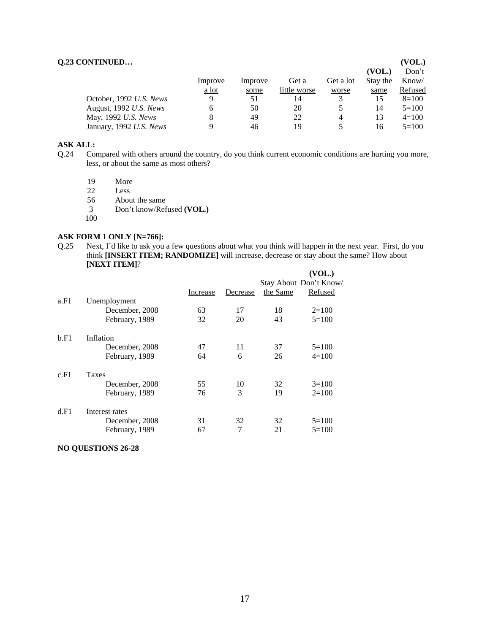|              |         |              |           |          | (VOL.)  |
|--------------|---------|--------------|-----------|----------|---------|
|              |         |              |           | (VOL.)   | Don't   |
| Improve      | Improve | Get a        | Get a lot | Stay the | Know/   |
| <u>a lot</u> | some    | little worse | worse     | same     | Refused |
| Q            | 51      | 14           |           | 15       | $8=100$ |
| 6            | 50      | 20           |           | 14       | $5=100$ |
|              | 49      | 22           | 4         | 13       | $4=100$ |
| Q            | 46      | 19           |           | 16       | $5=100$ |
|              |         |              |           |          |         |

- Q.24 Compared with others around the country, do you think current economic conditions are hurting you more, less, or about the same as most others?
	- 19 More<br>22 Less

22 Less<br>56 Abou

About the same

- 3 Don't know/Refused **(VOL.)**
- 100

# **ASK FORM 1 ONLY [N=766]:** Q.25 Next, I'd like to ask you

Next, I'd like to ask you a few questions about what you think will happen in the next year. First, do you think **[INSERT ITEM; RANDOMIZE]** will increase, decrease or stay about the same? How about **[NEXT ITEM]**?

|      |                |          |          |          | (VOL.)                 |
|------|----------------|----------|----------|----------|------------------------|
|      |                |          |          |          | Stay About Don't Know/ |
|      |                | Increase | Decrease | the Same | Refused                |
| a.F1 | Unemployment   |          |          |          |                        |
|      | December, 2008 | 63       | 17       | 18       | $2=100$                |
|      | February, 1989 | 32       | 20       | 43       | $5=100$                |
| b.F1 | Inflation      |          |          |          |                        |
|      | December, 2008 | 47       | 11       | 37       | $5=100$                |
|      | February, 1989 | 64       | 6        | 26       | $4=100$                |
| c.F1 | <b>Taxes</b>   |          |          |          |                        |
|      | December, 2008 | 55       | 10       | 32       | $3=100$                |
|      | February, 1989 | 76       | 3        | 19       | $2=100$                |
| d.F1 | Interest rates |          |          |          |                        |
|      | December, 2008 | 31       | 32       | 32       | $5=100$                |
|      | February, 1989 | 67       | 7        | 21       | $5=100$                |

**NO QUESTIONS 26-28**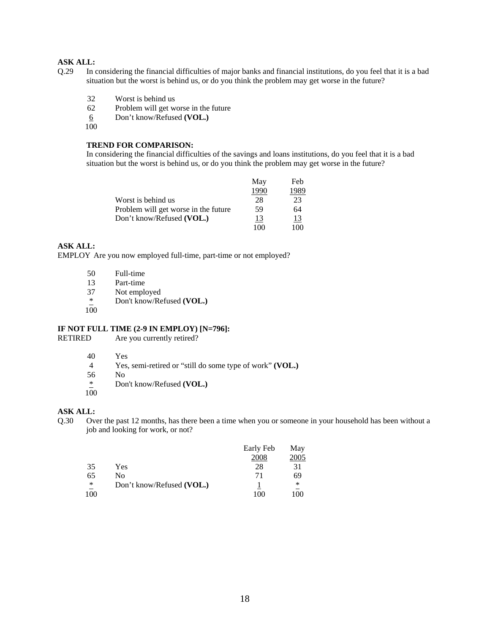- Q.29 In considering the financial difficulties of major banks and financial institutions, do you feel that it is a bad situation but the worst is behind us, or do you think the problem may get worse in the future?
	- 32 Worst is behind us
	- 62 Problem will get worse in the future
	- 6 Don't know/Refused **(VOL.)**
	- 100

## **TREND FOR COMPARISON:**

In considering the financial difficulties of the savings and loans institutions, do you feel that it is a bad situation but the worst is behind us, or do you think the problem may get worse in the future?

|                                      | May  | Feb       |
|--------------------------------------|------|-----------|
|                                      | 1990 | 1989      |
| Worst is behind us                   | 28   | 23        |
| Problem will get worse in the future | 59   | 64        |
| Don't know/Refused (VOL.)            | 13   | <u>13</u> |
|                                      | 100  | 100       |

# **ASK ALL:**

EMPLOY Are you now employed full-time, part-time or not employed?

| 50                            | Full-time                 |
|-------------------------------|---------------------------|
| 13                            | Part-time                 |
| 37                            | Not employed              |
| ∗<br>$\overline{\phantom{0}}$ | Don't know/Refused (VOL.) |
| 100                           |                           |

#### **IF NOT FULL TIME (2-9 IN EMPLOY) [N=796]:**

RETIRED Are you currently retired?

- 40 Yes
- 4 Yes, semi-retired or "still do some type of work" **(VOL.)**
- 56 No
- \* Don't know/Refused **(VOL.)**  100

#### **ASK ALL:**

Q.30 Over the past 12 months, has there been a time when you or someone in your household has been without a job and looking for work, or not?

|     |                           | Early Feb | May  |
|-----|---------------------------|-----------|------|
|     |                           | 2008      | 2005 |
| 35  | Yes                       | 28        | 31   |
| 65  | No                        | 71        | 69   |
| ∗   | Don't know/Refused (VOL.) |           | ∗    |
| 100 |                           | 100       | 100  |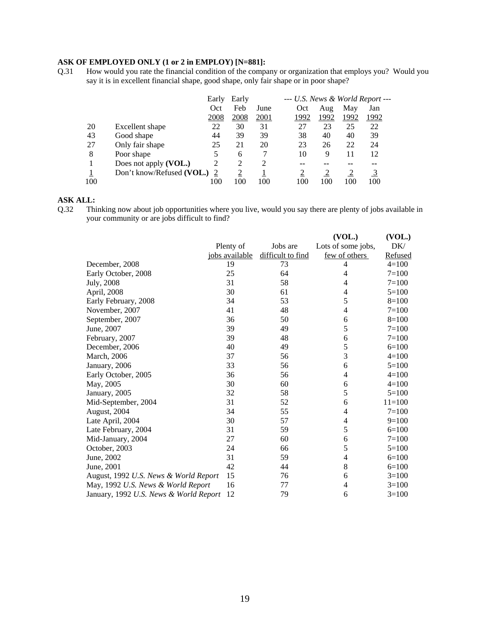# **ASK OF EMPLOYED ONLY (1 or 2 in EMPLOY) [N=881]:** Q.31 How would you rate the financial condition of the compa

Q.31 How would you rate the financial condition of the company or organization that employs you? Would you say it is in excellent financial shape, good shape, only fair shape or in poor shape?

|     |                           | Early | Early          |      | $-$ U.S. News & World Report $-$ |      |      |      |
|-----|---------------------------|-------|----------------|------|----------------------------------|------|------|------|
|     |                           | Oct   | Feb            | June | Oct                              | Aug  | May  | Jan  |
|     |                           | 2008  | 2008           | 2001 | 1992                             | 1992 | 1992 | 1992 |
| 20  | Excellent shape           | 22    | 30             | 31   | 27                               | 23   | 25   | 22   |
| 43  | Good shape                | 44    | 39             | 39   | 38                               | 40   | 40   | 39   |
| 27  | Only fair shape           | 25    | 21             | 20   | 23                               | 26   | 22   | 24   |
| 8   | Poor shape                |       | 6              |      | 10                               | 9    | 11   | 12   |
|     | Does not apply (VOL.)     | 2     | $\overline{c}$ | 2    | --                               |      | --   |      |
|     | Don't know/Refused (VOL.) |       | ◠              |      |                                  |      |      |      |
| 100 |                           | 100   | 100            | 100  | 100                              | 100  | 100  | 100  |

# **ASK ALL:**

Q.32 Thinking now about job opportunities where you live, would you say there are plenty of jobs available in your community or are jobs difficult to find?

|                                        |                |                   | (VOL.)             | (VOL.)    |
|----------------------------------------|----------------|-------------------|--------------------|-----------|
|                                        | Plenty of      | Jobs are          | Lots of some jobs, | DK/       |
|                                        | jobs available | difficult to find | few of others      | Refused   |
| December, 2008                         | 19             | 73                | 4                  | $4 = 100$ |
| Early October, 2008                    | 25             | 64                | 4                  | $7=100$   |
| July, 2008                             | 31             | 58                | 4                  | $7 = 100$ |
| April, 2008                            | 30             | 61                | 4                  | $5=100$   |
| Early February, 2008                   | 34             | 53                | 5                  | $8=100$   |
| November, 2007                         | 41             | 48                | 4                  | $7 = 100$ |
| September, 2007                        | 36             | 50                | 6                  | $8=100$   |
| June, 2007                             | 39             | 49                | 5                  | $7=100$   |
| February, 2007                         | 39             | 48                | 6                  | $7=100$   |
| December, 2006                         | 40             | 49                | 5                  | $6=100$   |
| March, 2006                            | 37             | 56                | 3                  | $4=100$   |
| January, 2006                          | 33             | 56                | 6                  | $5=100$   |
| Early October, 2005                    | 36             | 56                | $\overline{4}$     | $4 = 100$ |
| May, 2005                              | 30             | 60                | 6                  | $4=100$   |
| January, 2005                          | 32             | 58                | 5                  | $5=100$   |
| Mid-September, 2004                    | 31             | 52                | 6                  | $11=100$  |
| August, 2004                           | 34             | 55                | 4                  | $7=100$   |
| Late April, 2004                       | 30             | 57                | 4                  | $9=100$   |
| Late February, 2004                    | 31             | 59                | 5                  | $6=100$   |
| Mid-January, 2004                      | 27             | 60                | 6                  | $7=100$   |
| October, 2003                          | 24             | 66                | 5                  | $5=100$   |
| June, 2002                             | 31             | 59                | $\overline{4}$     | $6=100$   |
| June, 2001                             | 42             | 44                | 8                  | $6=100$   |
| August, 1992 U.S. News & World Report  | 15             | 76                | 6                  | $3=100$   |
| May, 1992 U.S. News & World Report     | 16             | 77                | 4                  | $3=100$   |
| January, 1992 U.S. News & World Report | 12             | 79                | 6                  | $3=100$   |
|                                        |                |                   |                    |           |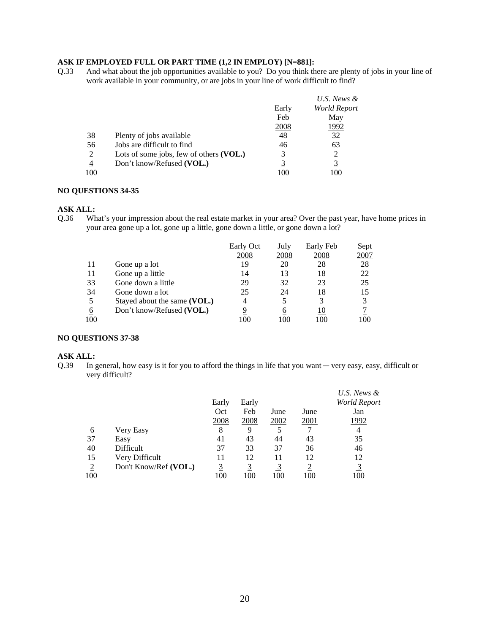# **ASK IF EMPLOYED FULL OR PART TIME (1,2 IN EMPLOY) [N=881]:**

Q.33 And what about the job opportunities available to you? Do you think there are plenty of jobs in your line of work available in your community, or are jobs in your line of work difficult to find?

|     |                                           |       | U.S. News &  |
|-----|-------------------------------------------|-------|--------------|
|     |                                           | Early | World Report |
|     |                                           | Feb   | May          |
|     |                                           | 2008  | 1992         |
| 38  | Plenty of jobs available                  | 48    | 32           |
| 56  | Jobs are difficult to find                | 46    | 63           |
| 2   | Lots of some jobs, few of others $(VOL.)$ | 3     |              |
| 4   | Don't know/Refused (VOL.)                 |       | <u>3</u>     |
| 100 |                                           | 100   | 100          |

#### **NO QUESTIONS 34-35**

#### **ASK ALL:**

Q.36 What's your impression about the real estate market in your area? Over the past year, have home prices in your area gone up a lot, gone up a little, gone down a little, or gone down a lot?

|     |                              | Early Oct | July | Early Feb | Sept        |
|-----|------------------------------|-----------|------|-----------|-------------|
|     |                              | 2008      | 2008 | 2008      | <u>2007</u> |
| 11  | Gone up a lot                | 19        | 20   | 28        | 28          |
| 11  | Gone up a little             | 14        | 13   | 18        | 22          |
| 33  | Gone down a little           | 29        | 32   | 23        | 25          |
| 34  | Gone down a lot              | 25        | 24   | 18        | 15          |
| 5   | Stayed about the same (VOL.) | 4         |      | 3         | 3           |
| 6   | Don't know/Refused (VOL.)    | 9         | 6    | 10        |             |
| 100 |                              | 100       | 100  | 100       | 100         |

#### **NO QUESTIONS 37-38**

#### **ASK ALL:**

Q.39 In general, how easy is it for you to afford the things in life that you want — very easy, easy, difficult or very difficult?

|                |                       |       |             |      |             | U.S. News &         |
|----------------|-----------------------|-------|-------------|------|-------------|---------------------|
|                |                       | Early | Early       |      |             | <b>World Report</b> |
|                |                       | Oct   | Feb         | June | June        | Jan                 |
|                |                       | 2008  | <u>2008</u> | 2002 | <u>2001</u> | 1992                |
| 6              | Very Easy             | 8     | 9           |      |             | 4                   |
| 37             | Easy                  | 41    | 43          | 44   | 43          | 35                  |
| 40             | Difficult             | 37    | 33          | 37   | 36          | 46                  |
| 15             | Very Difficult        | 11    | 12          | 11   | 12          | 12                  |
| $\overline{2}$ | Don't Know/Ref (VOL.) |       | 3           |      | <u>2</u>    | $\overline{3}$      |
| 100            |                       | 100   | 100         | 100  | 100         | 100                 |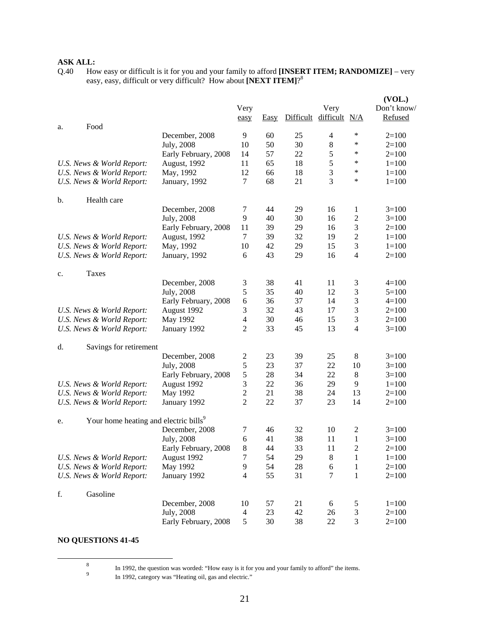Q.40 How easy or difficult is it for you and your family to afford **[INSERT ITEM; RANDOMIZE]** – very easy, easy, difficult or very difficult? How about **[NEXT ITEM]**?<sup>8</sup>

|                                                         |                      |                          |      |           |                |                          | (VOL.)      |
|---------------------------------------------------------|----------------------|--------------------------|------|-----------|----------------|--------------------------|-------------|
|                                                         |                      | Very                     |      |           | Very           |                          | Don't know/ |
|                                                         |                      | easy                     | Easy | Difficult | difficult      | N/A                      | Refused     |
| Food<br>a.                                              |                      |                          |      |           |                |                          |             |
|                                                         | December, 2008       | 9                        | 60   | 25        | 4              | ∗                        | $2=100$     |
|                                                         | July, 2008           | 10                       | 50   | 30        | $\,8\,$        | *                        | $2=100$     |
|                                                         | Early February, 2008 | 14                       | 57   | 22        | 5              | *                        | $2=100$     |
| U.S. News & World Report:                               | August, 1992         | 11                       | 65   | 18        | $\mathfrak s$  | *                        | $1 = 100$   |
| U.S. News & World Report:                               | May, 1992            | 12                       | 66   | 18        | $\mathfrak{Z}$ | *                        | $1 = 100$   |
| U.S. News & World Report:                               | January, 1992        | 7                        | 68   | 21        | 3              | $\ast$                   | $1 = 100$   |
| Health care<br>b.                                       |                      |                          |      |           |                |                          |             |
|                                                         | December, 2008       | 7                        | 44   | 29        | 16             | 1                        | $3=100$     |
|                                                         | July, 2008           | 9                        | 40   | 30        | 16             | 2                        | $3=100$     |
|                                                         | Early February, 2008 | 11                       | 39   | 29        | 16             | 3                        | $2=100$     |
| U.S. News & World Report:                               | August, 1992         | 7                        | 39   | 32        | 19             | $\boldsymbol{2}$         | $1 = 100$   |
| U.S. News & World Report:                               | May, 1992            | 10                       | 42   | 29        | 15             | 3                        | $1 = 100$   |
| U.S. News & World Report:                               | January, 1992        | 6                        | 43   | 29        | 16             | $\overline{4}$           | $2=100$     |
|                                                         |                      |                          |      |           |                |                          |             |
| Taxes<br>c.                                             | December, 2008       |                          | 38   |           |                |                          |             |
|                                                         |                      | 3                        |      | 41        | 11             | 3                        | $4=100$     |
|                                                         | July, 2008           | 5                        | 35   | 40        | 12             | 3                        | $5=100$     |
|                                                         | Early February, 2008 | 6                        | 36   | 37        | 14             | 3                        | $4=100$     |
| U.S. News & World Report:                               | August 1992          | 3                        | 32   | 43        | 17             | 3                        | $2=100$     |
| U.S. News & World Report:                               | May 1992             | 4                        | 30   | 46        | 15             | 3                        | $2=100$     |
| U.S. News & World Report:                               | January 1992         | 2                        | 33   | 45        | 13             | $\overline{\mathcal{L}}$ | $3=100$     |
| Savings for retirement<br>d.                            |                      |                          |      |           |                |                          |             |
|                                                         | December, 2008       | 2                        | 23   | 39        | 25             | 8                        | $3=100$     |
|                                                         | July, 2008           | 5                        | 23   | 37        | 22             | 10                       | $3=100$     |
|                                                         | Early February, 2008 | 5                        | 28   | 34        | 22             | 8                        | $3=100$     |
| U.S. News & World Report:                               | August 1992          | 3                        | 22   | 36        | 29             | 9                        | $1 = 100$   |
| U.S. News & World Report:                               | May 1992             | $\sqrt{2}$               | 21   | 38        | 24             | 13                       | $2=100$     |
| U.S. News & World Report:                               | January 1992         | $\overline{c}$           | 22   | 37        | 23             | 14                       | $2=100$     |
| Your home heating and electric bills <sup>9</sup><br>e. |                      |                          |      |           |                |                          |             |
|                                                         | December, 2008       | 7                        | 46   | 32        | 10             | $\overline{c}$           | $3=100$     |
|                                                         | July, 2008           | 6                        | 41   | 38        | 11             | 1                        | $3=100$     |
|                                                         | Early February, 2008 | 8                        | 44   | 33        | 11             | $\overline{2}$           | $2=100$     |
| U.S. News & World Report:                               | August 1992          | 7                        | 54   | 29        | $8\,$          | 1                        | $1 = 100$   |
| U.S. News & World Report:                               | May 1992             | 9                        | 54   | 28        | 6              | $\mathbf{1}$             | $2=100$     |
| U.S. News & World Report:                               | January 1992         | 4                        | 55   | 31        | $\tau$         | $\mathbf{1}$             | $2=100$     |
|                                                         |                      |                          |      |           |                |                          |             |
| Gasoline<br>f.                                          | December, 2008       | 10                       | 57   | 21        | 6              | 5                        | $1 = 100$   |
|                                                         | July, 2008           | $\overline{\mathcal{A}}$ | 23   | 42        | 26             | 3                        | $2=100$     |
|                                                         | Early February, 2008 | 5                        | 30   | 38        | 22             | 3                        | $2=100$     |
|                                                         |                      |                          |      |           |                |                          |             |

# **NO QUESTIONS 41-45**

 $\frac{1}{8}$ 

In 1992, the question was worded: "How easy is it for you and your family to afford" the items.<br>9

In 1992, category was "Heating oil, gas and electric."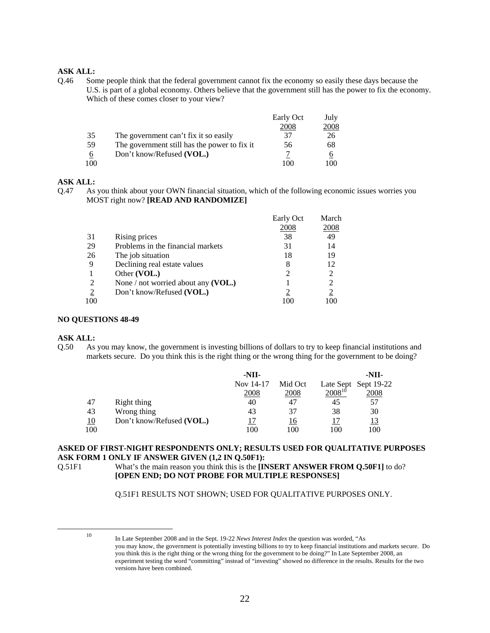Q.46 Some people think that the federal government cannot fix the economy so easily these days because the U.S. is part of a global economy. Others believe that the government still has the power to fix the economy. Which of these comes closer to your view?

|     |                                              | Early Oct | July |
|-----|----------------------------------------------|-----------|------|
|     |                                              | 2008      | 2008 |
| 35  | The government can't fix it so easily        | 37        | 26   |
| 59  | The government still has the power to fix it | 56        | 68   |
| 6   | Don't know/Refused (VOL.)                    |           |      |
| 100 |                                              |           | 100  |

# **ASK ALL:**

Q.47 As you think about your OWN financial situation, which of the following economic issues worries you MOST right now? **[READ AND RANDOMIZE]**

|                |                                       | Early Oct | March          |
|----------------|---------------------------------------|-----------|----------------|
|                |                                       | 2008      | 2008           |
| 31             | Rising prices                         | 38        | 49             |
| 29             | Problems in the financial markets     | 31        | 14             |
| 26             | The job situation                     | 18        | 19             |
| 9              | Declining real estate values          | 8         | 12             |
|                | Other (VOL.)                          | 2         |                |
| 2              | None / not worried about any $(VOL.)$ |           |                |
| $\overline{2}$ | Don't know/Refused (VOL.)             |           | $\overline{2}$ |
| 100            |                                       | 100       |                |

#### **NO QUESTIONS 48-49**

**ASK ALL:**<br>Q.50 As As you may know, the government is investing billions of dollars to try to keep financial institutions and markets secure. Do you think this is the right thing or the wrong thing for the government to be doing?

|     |                           | $-NII-$   |           |             | -NII-                |
|-----|---------------------------|-----------|-----------|-------------|----------------------|
|     |                           | Nov 14-17 | Mid Oct   |             | Late Sept Sept 19-22 |
|     |                           | 2008      | 2008      | $2008^{10}$ | 2008                 |
| 47  | Right thing               | 40        | 47        | 45          | 57                   |
| 43  | Wrong thing               | 43        | 37        | 38          | 30                   |
| 10  | Don't know/Refused (VOL.) |           | <u>16</u> |             | <u>13</u>            |
| 100 |                           | 100       | 100       | 100         | 100                  |

# **ASKED OF FIRST-NIGHT RESPONDENTS ONLY; RESULTS USED FOR QUALITATIVE PURPOSES ASK FORM 1 ONLY IF ANSWER GIVEN (1,2 IN Q.50F1):**

Q.51F1 What's the main reason you think this is the **[INSERT ANSWER FROM Q.50F1]** to do? **[OPEN END; DO NOT PROBE FOR MULTIPLE RESPONSES]**

Q.51F1 RESULTS NOT SHOWN; USED FOR QUALITATIVE PURPOSES ONLY.

 <sup>10</sup> In Late September 2008 and in the Sept. 19-22 *News Interest Index* the question was worded, "As you may know, the government is potentially investing billions to try to keep financial institutions and markets secure. Do you think this is the right thing or the wrong thing for the government to be doing?" In Late September 2008, an experiment testing the word "committing" instead of "investing" showed no difference in the results. Results for the two versions have been combined.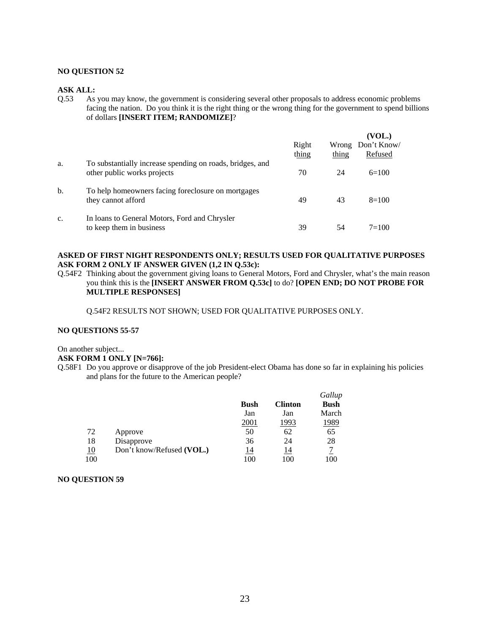# **NO QUESTION 52**

#### **ASK ALL:**

Q.53 As you may know, the government is considering several other proposals to address economic problems facing the nation. Do you think it is the right thing or the wrong thing for the government to spend billions of dollars **[INSERT ITEM; RANDOMIZE]**?

|    |                                                                                          | Right<br>thing | thing | (VOL.)<br>Wrong Don't Know/<br>Refused |
|----|------------------------------------------------------------------------------------------|----------------|-------|----------------------------------------|
| a. | To substantially increase spending on roads, bridges, and<br>other public works projects | 70             | 24    | $6=100$                                |
| b. | To help homeowners facing foreclosure on mortgages<br>they cannot afford                 | 49             | 43    | $8=100$                                |
| c. | In loans to General Motors, Ford and Chrysler<br>to keep them in business                | 39             | 54    | $7 = 100$                              |

# **ASKED OF FIRST NIGHT RESPONDENTS ONLY; RESULTS USED FOR QUALITATIVE PURPOSES ASK FORM 2 ONLY IF ANSWER GIVEN (1,2 IN Q.53c):**

Q.54F2 Thinking about the government giving loans to General Motors, Ford and Chrysler, what's the main reason you think this is the **[INSERT ANSWER FROM Q.53c]** to do? **[OPEN END; DO NOT PROBE FOR MULTIPLE RESPONSES]** 

Q.54F2 RESULTS NOT SHOWN; USED FOR QUALITATIVE PURPOSES ONLY.

### **NO QUESTIONS 55-57**

#### On another subject...

#### **ASK FORM 1 ONLY [N=766]:**

Q.58F1 Do you approve or disapprove of the job President-elect Obama has done so far in explaining his policies and plans for the future to the American people?

|            |                           |             |                | Gallup      |
|------------|---------------------------|-------------|----------------|-------------|
|            |                           | <b>Bush</b> | <b>Clinton</b> | <b>Bush</b> |
|            |                           | Jan         | Jan            | March       |
|            |                           | 2001        | 1993           | 1989        |
| 72         | Approve                   | 50          | 62             | 65          |
| 18         | Disapprove                | 36          | 24             | 28          |
| <u> 10</u> | Don't know/Refused (VOL.) | 14          | 14             |             |
| 100        |                           | 100         | 100            | 100         |

#### **NO QUESTION 59**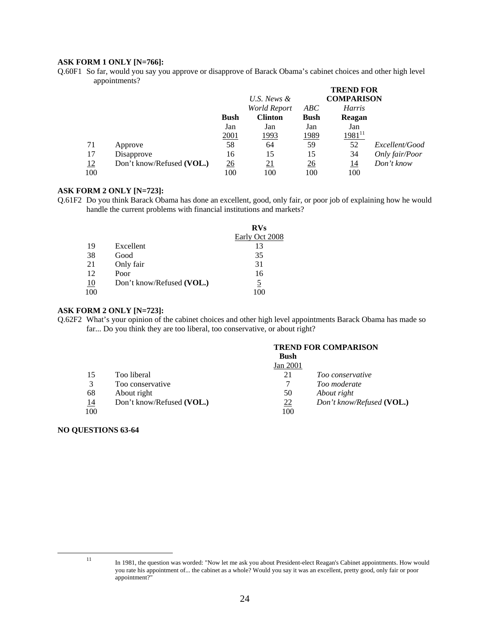# **ASK FORM 1 ONLY [N=766]:**

Q.60F1 So far, would you say you approve or disapprove of Barack Obama's cabinet choices and other high level appointments?

|           |                           |             |                |             | <b>TREND FOR</b>  |                |
|-----------|---------------------------|-------------|----------------|-------------|-------------------|----------------|
|           |                           |             | U.S. News &    |             | <b>COMPARISON</b> |                |
|           |                           |             | World Report   | ABC         | <b>Harris</b>     |                |
|           |                           | <b>Bush</b> | <b>Clinton</b> | <b>Bush</b> | Reagan            |                |
|           |                           | Jan         | Jan            | Jan         | Jan               |                |
|           |                           | 2001        | 1993           | 1989        | $1981^{11}$       |                |
| 71        | Approve                   | 58          | 64             | 59          | 52                | Excellent/Good |
| 17        | Disapprove                | 16          | 15             | 15          | 34                | Only fair/Poor |
| <u>12</u> | Don't know/Refused (VOL.) | 26          | <u>21</u>      | <u>26</u>   | <u> 14</u>        | Don't know     |
| 100       |                           | 100         | 100            | 100         | 100               |                |

## **ASK FORM 2 ONLY [N=723]:**

Q.61F2 Do you think Barack Obama has done an excellent, good, only fair, or poor job of explaining how he would handle the current problems with financial institutions and markets?

|    |                           | <b>RVs</b>     |
|----|---------------------------|----------------|
|    |                           | Early Oct 2008 |
| 19 | Excellent                 | 13             |
| 38 | Good                      | 35             |
| 21 | Only fair                 | 31             |
| 12 | Poor                      | 16             |
| 10 | Don't know/Refused (VOL.) |                |
|    |                           |                |

#### **ASK FORM 2 ONLY [N=723]:**

Q.62F2 What's your opinion of the cabinet choices and other high level appointments Barack Obama has made so far... Do you think they are too liberal, too conservative, or about right?

|     |                           |             | <b>TREND FOR COMPARISON</b> |
|-----|---------------------------|-------------|-----------------------------|
|     |                           | <b>Bush</b> |                             |
|     |                           | Jan 2001    |                             |
| 15  | Too liberal               | 21          | Too conservative            |
| 3   | Too conservative          |             | Too moderate                |
| 68  | About right               | 50          | About right                 |
| 14  | Don't know/Refused (VOL.) | 22          | Don't know/Refused (VOL.)   |
| 100 |                           | 100         |                             |

#### **NO QUESTIONS 63-64**

 <sup>11</sup> In 1981, the question was worded: "Now let me ask you about President-elect Reagan's Cabinet appointments. How would you rate his appointment of... the cabinet as a whole? Would you say it was an excellent, pretty good, only fair or poor appointment?"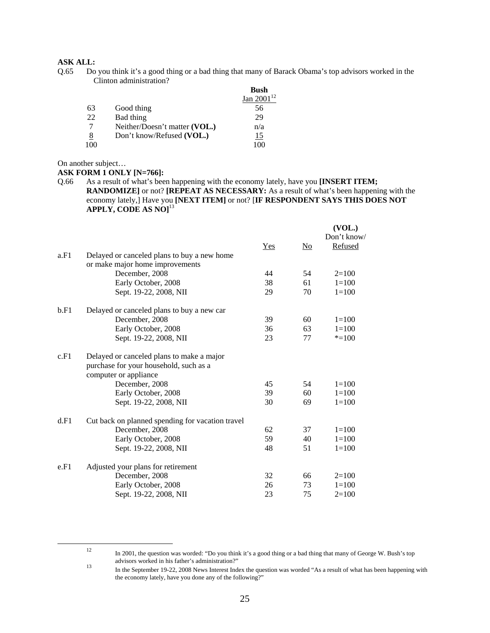Q.65 Do you think it's a good thing or a bad thing that many of Barack Obama's top advisors worked in the Clinton administration?

|     |                               | <b>Bush</b>     |
|-----|-------------------------------|-----------------|
|     |                               | 112<br>Jan 2001 |
| 63  | Good thing                    | 56              |
| 22  | Bad thing                     | 29              |
|     | Neither/Doesn't matter (VOL.) | n/a             |
| 8   | Don't know/Refused (VOL.)     | 15              |
| 100 |                               | 100             |

On another subject…

#### **ASK FORM 1 ONLY [N=766]:**

Q.66 As a result of what's been happening with the economy lately, have you **[INSERT ITEM; RANDOMIZE]** or not? **[REPEAT AS NECESSARY:** As a result of what's been happening with the economy lately,] Have you **[NEXT ITEM]** or not? [**IF RESPONDENT SAYS THIS DOES NOT APPLY, CODE AS NO]**<sup>13</sup>

|      |                                                  |       |                           | (VOL.)      |
|------|--------------------------------------------------|-------|---------------------------|-------------|
|      |                                                  |       |                           | Don't know/ |
|      |                                                  | $Yes$ | $\underline{\mathrm{No}}$ | Refused     |
| a.F1 | Delayed or canceled plans to buy a new home      |       |                           |             |
|      | or make major home improvements                  |       |                           |             |
|      | December, 2008                                   | 44    | 54                        | $2=100$     |
|      | Early October, 2008                              | 38    | 61                        | $1 = 100$   |
|      | Sept. 19-22, 2008, NII                           | 29    | 70                        | $1 = 100$   |
| b.F1 | Delayed or canceled plans to buy a new car       |       |                           |             |
|      | December, 2008                                   | 39    | 60                        | $1 = 100$   |
|      | Early October, 2008                              | 36    | 63                        | $1 = 100$   |
|      | Sept. 19-22, 2008, NII                           | 23    | 77                        | $* = 100$   |
| c.F1 | Delayed or canceled plans to make a major        |       |                           |             |
|      | purchase for your household, such as a           |       |                           |             |
|      | computer or appliance                            |       |                           |             |
|      | December, 2008                                   | 45    | 54                        | $1=100$     |
|      | Early October, 2008                              | 39    | 60                        | $1=100$     |
|      | Sept. 19-22, 2008, NII                           | 30    | 69                        | $1 = 100$   |
| d.F1 | Cut back on planned spending for vacation travel |       |                           |             |
|      | December, 2008                                   | 62    | 37                        | $1 = 100$   |
|      | Early October, 2008                              | 59    | 40                        | $1 = 100$   |
|      | Sept. 19-22, 2008, NII                           | 48    | 51                        | $1 = 100$   |
| e.F1 | Adjusted your plans for retirement               |       |                           |             |
|      | December, 2008                                   | 32    | 66                        | $2=100$     |
|      | Early October, 2008                              | 26    | 73                        | $1=100$     |
|      | Sept. 19-22, 2008, NII                           | 23    | 75                        | $2=100$     |

<sup>&</sup>lt;sup>12</sup> In 2001, the question was worded: "Do you think it's a good thing or a bad thing that many of George W. Bush's top advisors worked in his father's administration?"

<sup>13</sup> In the September 19-22, 2008 News Interest Index the question was worded "As a result of what has been happening with the economy lately, have you done any of the following?"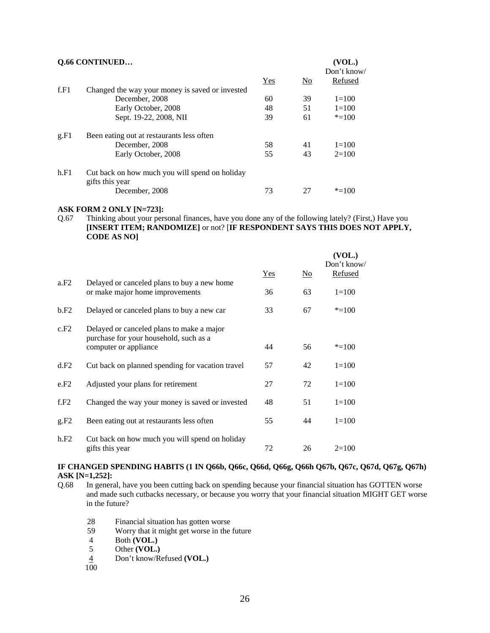|      | Q.66 CONTINUED<br>Don't know/                                     |       |                |           |  |
|------|-------------------------------------------------------------------|-------|----------------|-----------|--|
|      |                                                                   | $Yes$ | N <sub>0</sub> | Refused   |  |
| f.F1 | Changed the way your money is saved or invested                   |       |                |           |  |
|      | December, 2008                                                    | 60    | 39             | $1 = 100$ |  |
|      | Early October, 2008                                               | 48    | 51             | $1 = 100$ |  |
|      | Sept. 19-22, 2008, NII                                            | 39    | 61             | $* = 100$ |  |
| g.F1 | Been eating out at restaurants less often                         |       |                |           |  |
|      | December, 2008                                                    | 58    | 41             | $1=100$   |  |
|      | Early October, 2008                                               | 55    | 43             | $2=100$   |  |
| h.F1 | Cut back on how much you will spend on holiday<br>gifts this year |       |                |           |  |
|      | December, 2008                                                    | 73    | 27             | $* = 100$ |  |

### **ASK FORM 2 ONLY [N=723]:**

Q.67 Thinking about your personal finances, have you done any of the following lately? (First,) Have you **[INSERT ITEM; RANDOMIZE]** or not? [**IF RESPONDENT SAYS THIS DOES NOT APPLY, CODE AS NO]** 

|      |                                                                                     |     |                | (VOL.)<br>Don't know/ |
|------|-------------------------------------------------------------------------------------|-----|----------------|-----------------------|
| a.F2 | Delayed or canceled plans to buy a new home                                         | Yes | N <sub>0</sub> | <b>Refused</b>        |
|      | or make major home improvements                                                     | 36  | 63             | $1=100$               |
| b.F2 | Delayed or canceled plans to buy a new car                                          | 33  | 67             | $* = 100$             |
| c.F2 | Delayed or canceled plans to make a major<br>purchase for your household, such as a |     |                |                       |
|      | computer or appliance                                                               | 44  | 56             | $* = 100$             |
| d.F2 | Cut back on planned spending for vacation travel                                    | 57  | 42             | $1 = 100$             |
| e.F2 | Adjusted your plans for retirement                                                  | 27  | 72             | $1=100$               |
| f.F2 | Changed the way your money is saved or invested                                     | 48  | 51             | $1 = 100$             |
| g.F2 | Been eating out at restaurants less often                                           | 55  | 44             | $1 = 100$             |
| h.F2 | Cut back on how much you will spend on holiday<br>gifts this year                   | 72  | 26             | $2=100$               |

#### **IF CHANGED SPENDING HABITS (1 IN Q66b, Q66c, Q66d, Q66g, Q66h Q67b, Q67c, Q67d, Q67g, Q67h) ASK [N=1,252]:**

- Q.68 In general, have you been cutting back on spending because your financial situation has GOTTEN worse and made such cutbacks necessary, or because you worry that your financial situation MIGHT GET worse in the future?
	- 28 Financial situation has gotten worse<br>59 Worry that it might get worse in the
	- 59 Worry that it might get worse in the future
	- 4 Both **(VOL.)**<br>5 Other **(VOL.)**
	- Other **(VOL.)**
	- 4 Don't know/Refused **(VOL.)**
	- 100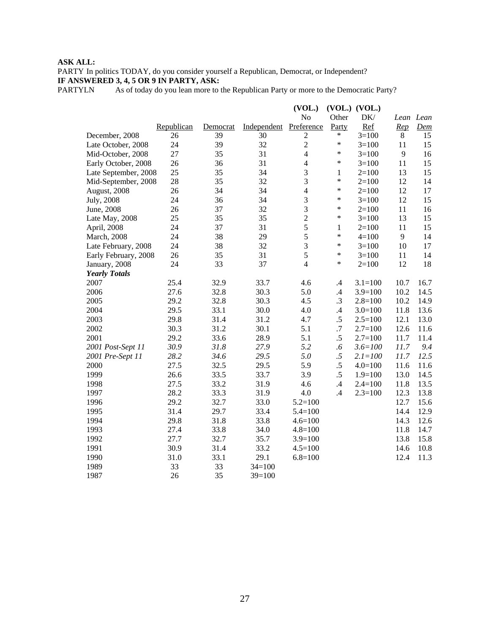PARTY In politics TODAY, do you consider yourself a Republican, Democrat, or Independent? **IF ANSWERED 3, 4, 5 OR 9 IN PARTY, ASK:**

PARTYLN As of today do you lean more to the Republican Party or more to the Democratic Party?

|                      |            |          |             | (VOL.)           |               | $(VOL.)$ $(VOL.)$ |                |           |
|----------------------|------------|----------|-------------|------------------|---------------|-------------------|----------------|-----------|
|                      |            |          |             | No               | Other         | DK/               |                | Lean Lean |
|                      | Republican | Democrat | Independent | Preference       | Party         | Ref               | Rep            | Dem       |
| December, 2008       | 26         | 39       | 30          | $\boldsymbol{2}$ | $\ast$        | $3=100$           | 8              | 15        |
| Late October, 2008   | 24         | 39       | 32          | $\overline{2}$   | $\ast$        | $3 = 100$         | 11             | 15        |
| Mid-October, 2008    | 27         | 35       | 31          | $\overline{4}$   | $\ast$        | $3=100$           | 9              | 16        |
| Early October, 2008  | 26         | 36       | 31          | $\overline{4}$   | $\ast$        | $3=100$           | 11             | 15        |
| Late September, 2008 | 25         | 35       | 34          | 3                | $\mathbf{1}$  | $2=100$           | 13             | 15        |
| Mid-September, 2008  | 28         | 35       | 32          | 3                | $\ast$        | $2=100$           | 12             | 14        |
| August, 2008         | 26         | 34       | 34          | $\overline{4}$   | $\ast$        | $2=100$           | 12             | 17        |
| July, 2008           | 24         | 36       | 34          | $\mathfrak{Z}$   | $\ast$        | $3=100$           | 12             | 15        |
| June, 2008           | 26         | 37       | 32          | $\mathfrak{Z}$   | $\ast$        | $2=100$           | 11             | 16        |
| Late May, 2008       | 25         | 35       | 35          | $\overline{2}$   | $\ast$        | $3=100$           | 13             | 15        |
| April, 2008          | 24         | 37       | 31          | 5                | $\mathbf{1}$  | $2=100$           | 11             | 15        |
| March, 2008          | 24         | 38       | 29          | 5                | $\ast$        | $4 = 100$         | $\overline{9}$ | 14        |
| Late February, 2008  | 24         | 38       | 32          | $\overline{3}$   | $\ast$        | $3=100$           | 10             | 17        |
| Early February, 2008 | 26         | 35       | 31          | 5                | $\ast$        | $3=100$           | $11\,$         | 14        |
| January, 2008        | 24         | 33       | 37          | $\overline{4}$   | $\ast$        | $2=100$           | 12             | 18        |
| <b>Yearly Totals</b> |            |          |             |                  |               |                   |                |           |
| 2007                 | 25.4       | 32.9     | 33.7        | 4.6              | $\cdot$       | $3.1 = 100$       | 10.7           | 16.7      |
| 2006                 | 27.6       | 32.8     | 30.3        | 5.0              | .4            | $3.9=100$         | 10.2           | 14.5      |
| 2005                 | 29.2       | 32.8     | 30.3        | 4.5              | $\cdot$ 3     | $2.8 = 100$       | 10.2           | 14.9      |
| 2004                 | 29.5       | 33.1     | 30.0        | 4.0              | $.4\,$        | $3.0=100$         | 11.8           | 13.6      |
| 2003                 | 29.8       | 31.4     | 31.2        | 4.7              | .5            | $2.5 = 100$       | 12.1           | 13.0      |
| 2002                 | 30.3       | 31.2     | 30.1        | 5.1              | .7            | $2.7=100$         | 12.6           | 11.6      |
| 2001                 | 29.2       | 33.6     | 28.9        | 5.1              | $.5\,$        | $2.7=100$         | 11.7           | 11.4      |
| 2001 Post-Sept 11    | 30.9       | 31.8     | 27.9        | 5.2              | .6            | $3.6 = 100$       | 11.7           | 9.4       |
| 2001 Pre-Sept 11     | 28.2       | 34.6     | 29.5        | 5.0              | .5            | $2.1 = 100$       | 11.7           | 12.5      |
| 2000                 | 27.5       | 32.5     | 29.5        | 5.9              | $.5\,$        | $4.0 = 100$       | 11.6           | 11.6      |
| 1999                 | 26.6       | 33.5     | 33.7        | 3.9              | $.5\,$        | $1.9=100$         | 13.0           | 14.5      |
| 1998                 | 27.5       | 33.2     | 31.9        | 4.6              | $\mathcal{A}$ | $2.4 = 100$       | 11.8           | 13.5      |
| 1997                 | 28.2       | 33.3     | 31.9        | 4.0              | .4            | $2.3 = 100$       | 12.3           | 13.8      |
| 1996                 | 29.2       | 32.7     | 33.0        | $5.2 = 100$      |               |                   | 12.7           | 15.6      |
| 1995                 | 31.4       | 29.7     | 33.4        | $5.4 = 100$      |               |                   | 14.4           | 12.9      |
| 1994                 | 29.8       | 31.8     | 33.8        | $4.6 = 100$      |               |                   | 14.3           | 12.6      |
| 1993                 | 27.4       | 33.8     | 34.0        | $4.8 = 100$      |               |                   | 11.8           | 14.7      |
| 1992                 | 27.7       | 32.7     | 35.7        | $3.9=100$        |               |                   | 13.8           | 15.8      |
| 1991                 | 30.9       | 31.4     | 33.2        | $4.5 = 100$      |               |                   | 14.6           | 10.8      |
| 1990                 | 31.0       | 33.1     | 29.1        | $6.8 = 100$      |               |                   | 12.4           | 11.3      |
| 1989                 | 33         | 33       | $34=100$    |                  |               |                   |                |           |
| 1987                 | 26         | 35       | $39=100$    |                  |               |                   |                |           |